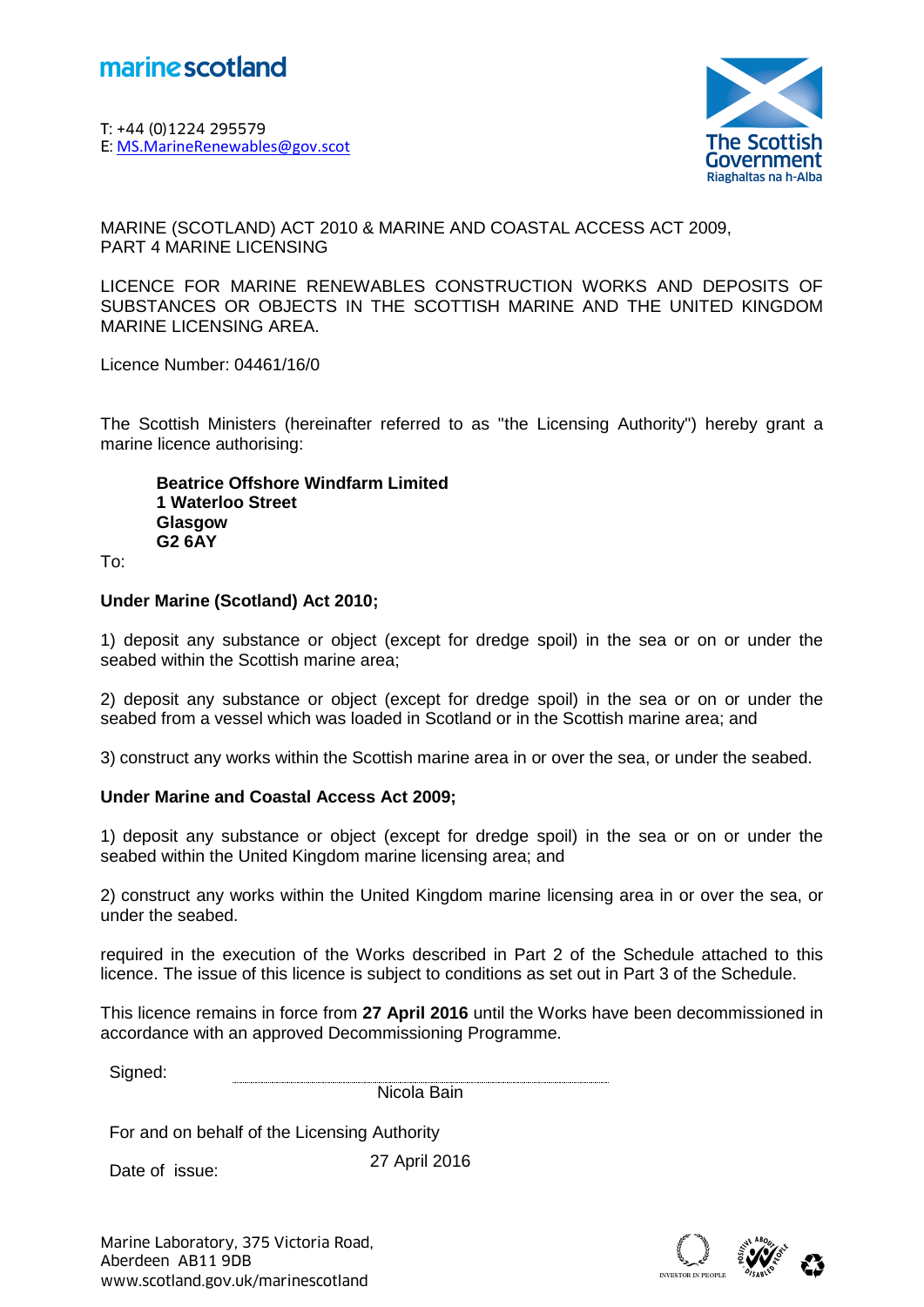

T: +44 (0)1224 295579 **Marine Scotland<br>
F: +44 (0)1224 295579<br>
E: <u>[MS.MarineRenewables@gov.scot](mailto:MS.MarineRenewables@gov.scot)</u><br>
(** 



MARINE (SCOTLAND) ACT 2010 & MARINE AND COASTAL ACCESS ACT 2009, PART 4 MARINE LICENSING

LICENCE FOR MARINE RENEWABLES CONSTRUCTION WORKS AND DEPOSITS OF SUBSTANCES OR OBJECTS IN THE SCOTTISH MARINE AND THE UNITED KINGDOM MARINE LICENSING AREA.

Licence Number: 04461/16/0

The Scottish Ministers (hereinafter referred to as "the Licensing Authority") hereby grant a marine licence authorising:

**Beatrice Offshore Windfarm Limited 1 Waterloo Street Glasgow G2 6AY**

To:

#### **Under Marine (Scotland) Act 2010;**

1) deposit any substance or object (except for dredge spoil) in the sea or on or under the seabed within the Scottish marine area;

2) deposit any substance or object (except for dredge spoil) in the sea or on or under the seabed from a vessel which was loaded in Scotland or in the Scottish marine area; and

3) construct any works within the Scottish marine area in or over the sea, or under the seabed.

### **Under Marine and Coastal Access Act 2009;**

1) deposit any substance or object (except for dredge spoil) in the sea or on or under the seabed within the United Kingdom marine licensing area; and

2) construct any works within the United Kingdom marine licensing area in or over the sea, or under the seabed.

required in the execution of the Works described in Part 2 of the Schedule attached to this licence. The issue of this licence is subject to conditions as set out in Part 3 of the Schedule.

This licence remains in force from **27 April 2016** until the Works have been decommissioned in accordance with an approved Decommissioning Programme.

| $S_{\rm h}$<br>ונםוו |                     |
|----------------------|---------------------|
|                      | .                   |
|                      | ---<br>---<br>----- |

For and on behalf of the Licensing Authority

Date of issue:

27 April 2016

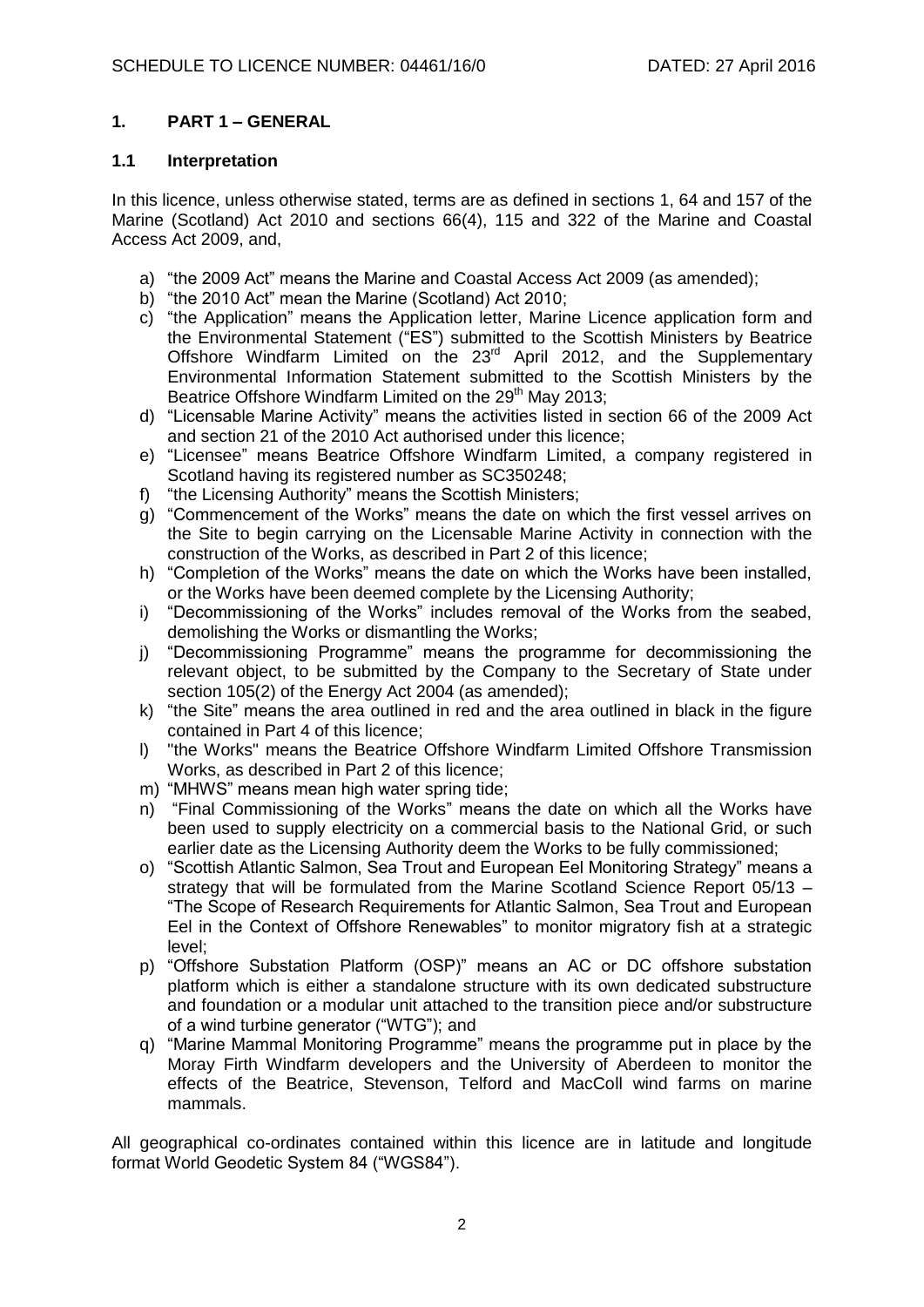## **1. PART 1 – GENERAL**

#### **1.1 Interpretation**

In this licence, unless otherwise stated, terms are as defined in sections 1, 64 and 157 of the Marine (Scotland) Act 2010 and sections 66(4), 115 and 322 of the Marine and Coastal Access Act 2009, and,

- a) "the 2009 Act" means the Marine and Coastal Access Act 2009 (as amended);
- b) "the 2010 Act" mean the Marine (Scotland) Act 2010;
- c) "the Application" means the Application letter, Marine Licence application form and the Environmental Statement ("ES") submitted to the Scottish Ministers by Beatrice Offshore Windfarm Limited on the 23<sup>rd</sup> April 2012, and the Supplementary Environmental Information Statement submitted to the Scottish Ministers by the Beatrice Offshore Windfarm Limited on the 29<sup>th</sup> May 2013;
- d) "Licensable Marine Activity" means the activities listed in section 66 of the 2009 Act and section 21 of the 2010 Act authorised under this licence;
- e) "Licensee" means Beatrice Offshore Windfarm Limited, a company registered in Scotland having its registered number as SC350248:
- f) "the Licensing Authority" means the Scottish Ministers;
- g) "Commencement of the Works" means the date on which the first vessel arrives on the Site to begin carrying on the Licensable Marine Activity in connection with the construction of the Works, as described in Part 2 of this licence;
- h) "Completion of the Works" means the date on which the Works have been installed, or the Works have been deemed complete by the Licensing Authority;
- i) "Decommissioning of the Works" includes removal of the Works from the seabed, demolishing the Works or dismantling the Works;
- j) "Decommissioning Programme" means the programme for decommissioning the relevant object, to be submitted by the Company to the Secretary of State under section 105(2) of the Energy Act 2004 (as amended);
- k) "the Site" means the area outlined in red and the area outlined in black in the figure contained in Part 4 of this licence;
- l) "the Works" means the Beatrice Offshore Windfarm Limited Offshore Transmission Works, as described in Part 2 of this licence;
- m) "MHWS" means mean high water spring tide;
- n) "Final Commissioning of the Works" means the date on which all the Works have been used to supply electricity on a commercial basis to the National Grid, or such earlier date as the Licensing Authority deem the Works to be fully commissioned;
- o) "Scottish Atlantic Salmon, Sea Trout and European Eel Monitoring Strategy" means a strategy that will be formulated from the Marine Scotland Science Report 05/13 – "The Scope of Research Requirements for Atlantic Salmon, Sea Trout and European Eel in the Context of Offshore Renewables" to monitor migratory fish at a strategic level;
- p) "Offshore Substation Platform (OSP)" means an AC or DC offshore substation platform which is either a standalone structure with its own dedicated substructure and foundation or a modular unit attached to the transition piece and/or substructure of a wind turbine generator ("WTG"); and
- q) "Marine Mammal Monitoring Programme" means the programme put in place by the Moray Firth Windfarm developers and the University of Aberdeen to monitor the effects of the Beatrice, Stevenson, Telford and MacColl wind farms on marine mammals.

All geographical co-ordinates contained within this licence are in latitude and longitude format World Geodetic System 84 ("WGS84").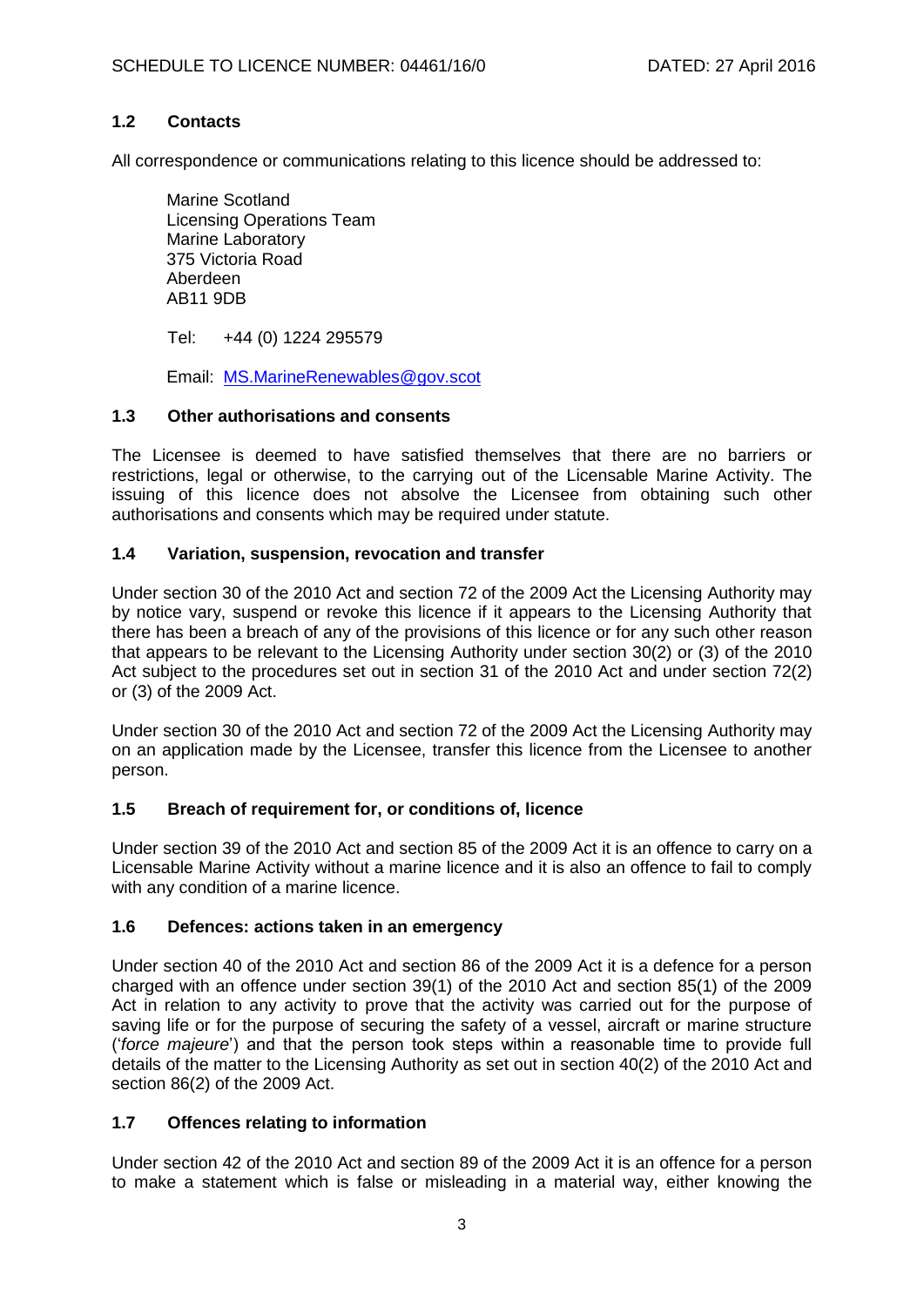## **1.2 Contacts**

All correspondence or communications relating to this licence should be addressed to:

Marine Scotland Licensing Operations Team Marine Laboratory 375 Victoria Road Aberdeen AB11 9DB

Tel: +44 (0) 1224 295579

Email: [MS.MarineRenewables@gov.scot](mailto:MS.MarineRenewables@gov.scot)

### **1.3 Other authorisations and consents**

The Licensee is deemed to have satisfied themselves that there are no barriers or restrictions, legal or otherwise, to the carrying out of the Licensable Marine Activity. The issuing of this licence does not absolve the Licensee from obtaining such other authorisations and consents which may be required under statute.

## **1.4 Variation, suspension, revocation and transfer**

Under section 30 of the 2010 Act and section 72 of the 2009 Act the Licensing Authority may by notice vary, suspend or revoke this licence if it appears to the Licensing Authority that there has been a breach of any of the provisions of this licence or for any such other reason that appears to be relevant to the Licensing Authority under section 30(2) or (3) of the 2010 Act subject to the procedures set out in section 31 of the 2010 Act and under section 72(2) or (3) of the 2009 Act.

Under section 30 of the 2010 Act and section 72 of the 2009 Act the Licensing Authority may on an application made by the Licensee, transfer this licence from the Licensee to another person.

### **1.5 Breach of requirement for, or conditions of, licence**

Under section 39 of the 2010 Act and section 85 of the 2009 Act it is an offence to carry on a Licensable Marine Activity without a marine licence and it is also an offence to fail to comply with any condition of a marine licence.

### **1.6 Defences: actions taken in an emergency**

Under section 40 of the 2010 Act and section 86 of the 2009 Act it is a defence for a person charged with an offence under section 39(1) of the 2010 Act and section 85(1) of the 2009 Act in relation to any activity to prove that the activity was carried out for the purpose of saving life or for the purpose of securing the safety of a vessel, aircraft or marine structure ('*force majeure*') and that the person took steps within a reasonable time to provide full details of the matter to the Licensing Authority as set out in section 40(2) of the 2010 Act and section 86(2) of the 2009 Act.

## **1.7 Offences relating to information**

Under section 42 of the 2010 Act and section 89 of the 2009 Act it is an offence for a person to make a statement which is false or misleading in a material way, either knowing the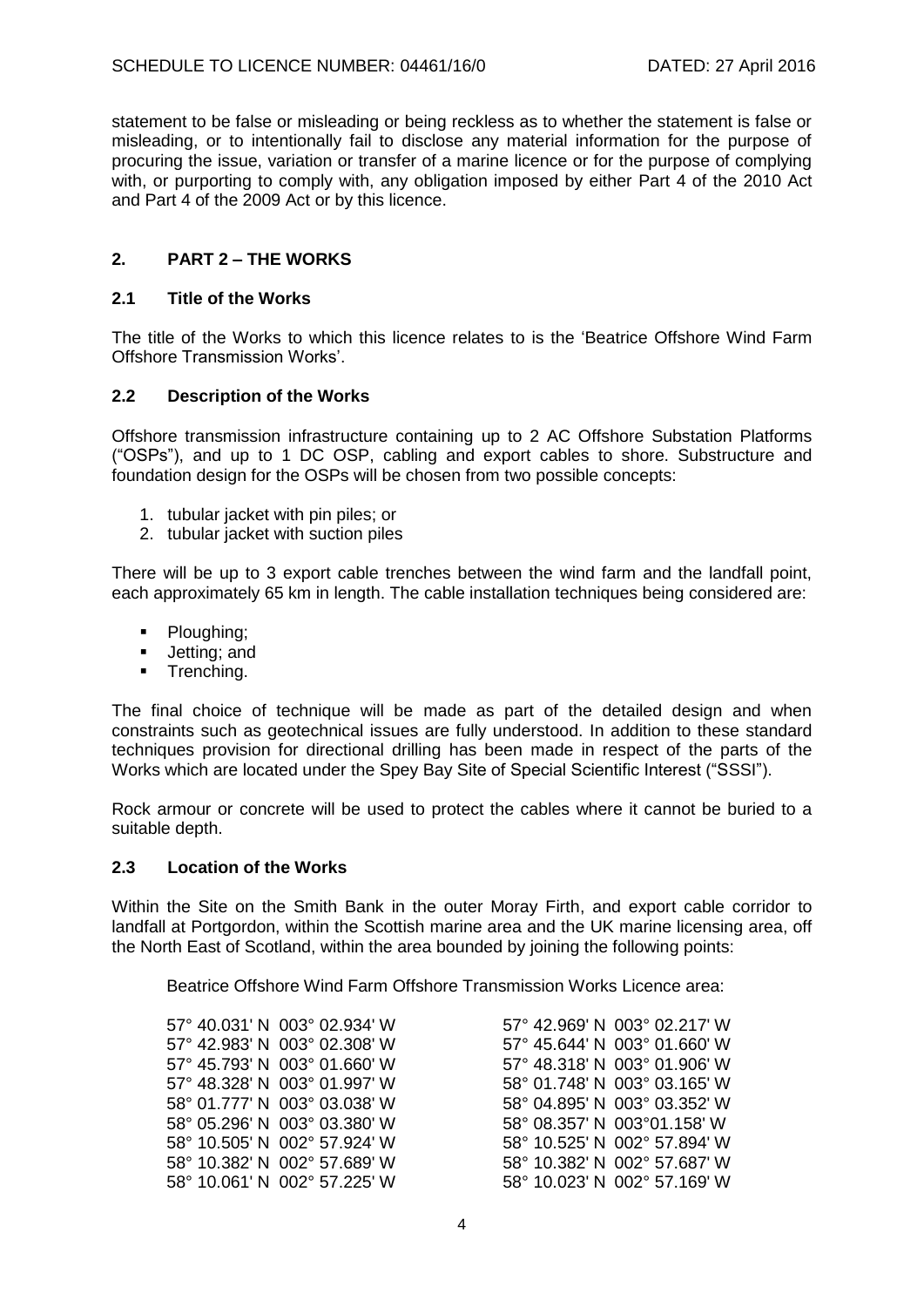statement to be false or misleading or being reckless as to whether the statement is false or misleading, or to intentionally fail to disclose any material information for the purpose of procuring the issue, variation or transfer of a marine licence or for the purpose of complying with, or purporting to comply with, any obligation imposed by either Part 4 of the 2010 Act and Part 4 of the 2009 Act or by this licence.

## **2. PART 2 – THE WORKS**

#### **2.1 Title of the Works**

The title of the Works to which this licence relates to is the 'Beatrice Offshore Wind Farm Offshore Transmission Works'.

#### **2.2 Description of the Works**

Offshore transmission infrastructure containing up to 2 AC Offshore Substation Platforms ("OSPs"), and up to 1 DC OSP, cabling and export cables to shore. Substructure and foundation design for the OSPs will be chosen from two possible concepts:

- 1. tubular jacket with pin piles; or
- 2. tubular jacket with suction piles

There will be up to 3 export cable trenches between the wind farm and the landfall point, each approximately 65 km in length. The cable installation techniques being considered are:

- Ploughing;
- **Jetting**; and
- **Trenching.**

The final choice of technique will be made as part of the detailed design and when constraints such as geotechnical issues are fully understood. In addition to these standard techniques provision for directional drilling has been made in respect of the parts of the Works which are located under the Spey Bay Site of Special Scientific Interest ("SSSI").

Rock armour or concrete will be used to protect the cables where it cannot be buried to a suitable depth.

#### **2.3 Location of the Works**

Within the Site on the Smith Bank in the outer Moray Firth, and export cable corridor to landfall at Portgordon, within the Scottish marine area and the UK marine licensing area, off the North East of Scotland, within the area bounded by joining the following points:

Beatrice Offshore Wind Farm Offshore Transmission Works Licence area:

| 57° 40.031' N 003° 02.934' W | 57° 42.969' N 003° 02.217' W |
|------------------------------|------------------------------|
| 57° 42.983' N 003° 02.308' W | 57° 45.644' N 003° 01.660' W |
| 57° 45.793' N 003° 01.660' W | 57° 48.318' N 003° 01.906' W |
| 57° 48.328′ N 003° 01.997′ W | 58° 01.748' N 003° 03.165' W |
| 58° 01.777' N 003° 03.038' W | 58° 04.895' N 003° 03.352' W |
| 58° 05.296' N 003° 03.380' W | 58° 08.357' N 003°01.158' W  |
| 58° 10.505' N 002° 57.924' W | 58° 10.525' N 002° 57.894' W |
| 58° 10.382' N 002° 57.689' W | 58° 10.382' N 002° 57.687' W |
| 58° 10.061' N 002° 57.225' W | 58° 10.023' N 002° 57.169' W |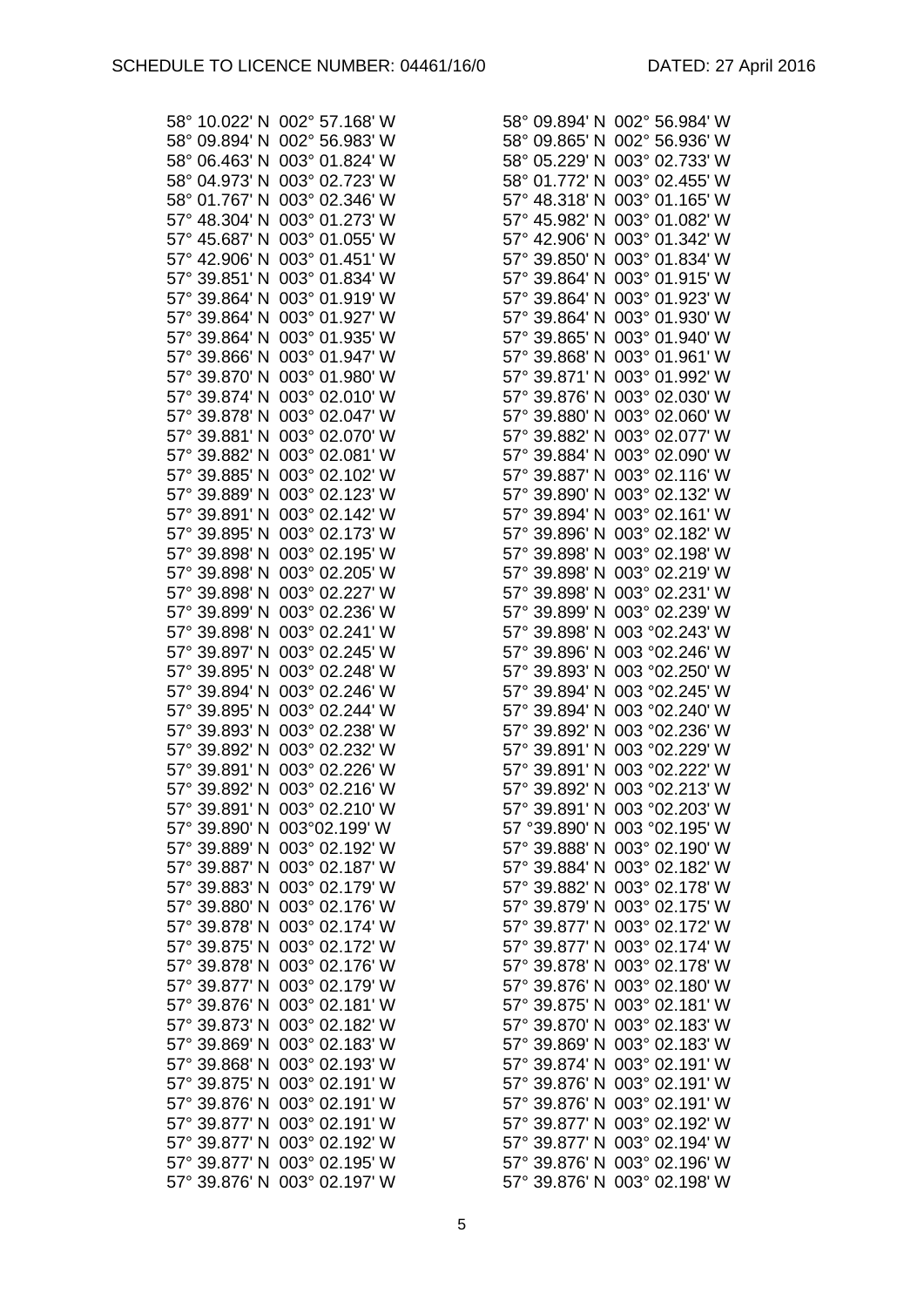| 58° 10.022' N 002° 57.168' W | 58° 09.894' N 002° 56.984' W |
|------------------------------|------------------------------|
| 58° 09.894' N 002° 56.983' W | 58° 09.865' N 002° 56.936' W |
| 58° 06.463' N 003° 01.824' W | 58° 05.229' N 003° 02.733' W |
|                              |                              |
| 58° 04.973' N 003° 02.723' W | 58° 01.772' N 003° 02.455' W |
| 58° 01.767' N 003° 02.346' W | 57° 48.318' N 003° 01.165' W |
| 57° 48.304' N 003° 01.273' W | 57° 45.982' N 003° 01.082' W |
| 57° 45.687' N 003° 01.055' W | 57° 42.906' N 003° 01.342' W |
| 57° 42.906' N 003° 01.451' W | 57° 39.850' N 003° 01.834' W |
| 57° 39.851' N 003° 01.834' W | 57° 39.864' N 003° 01.915' W |
| 57° 39.864' N 003° 01.919' W | 57° 39.864' N 003° 01.923' W |
| 57° 39.864' N 003° 01.927' W | 57° 39.864' N 003° 01.930' W |
| 57° 39.864' N 003° 01.935' W | 57° 39.865' N 003° 01.940' W |
| 57° 39.866' N 003° 01.947' W | 57° 39.868' N 003° 01.961' W |
|                              |                              |
| 57° 39.870' N 003° 01.980' W | 57° 39.871' N 003° 01.992' W |
| 57° 39.874' N 003° 02.010' W | 57° 39.876' N 003° 02.030' W |
| 57° 39.878' N 003° 02.047' W | 57° 39.880' N 003° 02.060' W |
| 57° 39.881' N 003° 02.070' W | 57° 39.882' N 003° 02.077' W |
| 57° 39.882' N 003° 02.081' W | 57° 39.884' N 003° 02.090' W |
| 57° 39.885' N 003° 02.102' W | 57° 39.887' N 003° 02.116' W |
| 57° 39.889' N 003° 02.123' W | 57° 39.890' N 003° 02.132' W |
| 57° 39.891' N 003° 02.142' W | 57° 39.894' N 003° 02.161' W |
| 57° 39.895' N 003° 02.173' W | 57° 39.896' N 003° 02.182' W |
| 57° 39.898' N 003° 02.195' W | 57° 39.898' N 003° 02.198' W |
| 57° 39.898' N 003° 02.205' W | 57° 39.898' N 003° 02.219' W |
| 57° 39.898' N 003° 02.227' W | 57° 39.898' N 003° 02.231' W |
| 57° 39.899' N 003° 02.236' W | 57° 39.899' N 003° 02.239' W |
| 57° 39.898' N 003° 02.241' W | 57° 39.898' N 003 °02.243' W |
|                              |                              |
| 57° 39.897' N 003° 02.245' W | 57° 39.896' N 003 °02.246' W |
| 57° 39.895' N 003° 02.248' W | 57° 39.893' N 003 °02.250' W |
| 57° 39.894' N 003° 02.246' W | 57° 39.894' N 003 °02.245' W |
| 57° 39.895' N 003° 02.244' W | 57° 39.894' N 003 °02.240' W |
| 57° 39.893' N 003° 02.238' W | 57° 39.892' N 003 °02.236' W |
| 57° 39.892' N 003° 02.232' W | 57° 39.891' N 003 °02.229' W |
| 57° 39.891' N 003° 02.226' W | 57° 39.891' N 003 °02.222' W |
| 57° 39.892' N 003° 02.216' W | 57° 39.892' N 003 °02.213' W |
| 57° 39.891' N 003° 02.210' W | 57° 39.891' N 003 °02.203' W |
| 57° 39.890' N 003°02.199' W  | 57 °39.890' N 003 °02.195' W |
| 57° 39.889' N 003° 02.192' W | 57° 39.888' N 003° 02.190' W |
| 57° 39.887' N 003° 02.187' W | 57° 39.884' N 003° 02.182' W |
| 57° 39.883' N 003° 02.179' W | 57° 39.882' N 003° 02.178' W |
| 57° 39.880' N 003° 02.176' W | 57° 39.879' N 003° 02.175' W |
| 57° 39.878' N 003° 02.174' W | 57° 39.877' N 003° 02.172' W |
| 57° 39.875' N 003° 02.172' W | 57° 39.877' N 003° 02.174' W |
| 57° 39.878' N 003° 02.176' W | 57° 39.878' N 003° 02.178' W |
|                              |                              |
| 57° 39.877' N 003° 02.179' W | 57° 39.876' N 003° 02.180' W |
| 57° 39.876' N 003° 02.181' W | 57° 39.875' N 003° 02.181' W |
| 57° 39.873' N 003° 02.182' W | 57° 39.870' N 003° 02.183' W |
| 57° 39.869' N 003° 02.183' W | 57° 39.869' N 003° 02.183' W |
| 57° 39.868' N 003° 02.193' W | 57° 39.874' N 003° 02.191' W |
| 57° 39.875' N 003° 02.191' W | 57° 39.876' N 003° 02.191' W |
| 57° 39.876' N 003° 02.191' W | 57° 39.876' N 003° 02.191' W |
| 57° 39.877' N 003° 02.191' W | 57° 39.877' N 003° 02.192' W |
| 57° 39.877' N 003° 02.192' W | 57° 39.877' N 003° 02.194' W |
| 57° 39.877' N 003° 02.195' W | 57° 39.876' N 003° 02.196' W |
| 57° 39.876' N 003° 02.197' W | 57° 39.876' N 003° 02.198' W |

| 58° 09.894' N              | 002° 56.984' W           |
|----------------------------|--------------------------|
| 58° 09.865' N              | 002° 56.936' W           |
| 58° 05.229' N              | 02.733' W<br>$003^\circ$ |
| 58° 01.772' N              | $003^\circ$<br>02.455' W |
| 57° 48.318'<br>Ν           | $003^\circ$<br>01.165' W |
| 57° 45.982'<br>Ν           | 01.082' W<br>$003^\circ$ |
|                            |                          |
| 57° 42.906'<br>Ν           | 01.342' W<br>$003^\circ$ |
| 57° 39.850'<br>N           | 01.834' W<br>003°        |
| 39.864'<br>57°<br>Ν        | 01.915' W<br>$003^\circ$ |
| 57° 39.864' N              | 01.923' W<br>$003^\circ$ |
| 57° 39.864' N              | 01.930' W<br>$003^\circ$ |
| 57° 39.865' N              | $003^\circ$<br>01.940'W  |
| 57° 39.868'<br>Ν           | $003^\circ$<br>01.961'W  |
| 57° 39.871'<br>N           | 01.992' W<br>$003^\circ$ |
| 57° 39.876' N              | 02.030' W<br>$003^\circ$ |
| 57° 39.880' N              | 02.060' W<br>$003^\circ$ |
| 57° 39.882' N              | 003° 02.077' W           |
| 57° 39.884' N              | 003° 02.090' W           |
| 57° 39.887' N              | 003° 02.116' W           |
| 57° 39.890' N              | 003° 02.132' W           |
| 57° 39.894' N              | $003^\circ$<br>02.161' W |
|                            |                          |
| 57° 39.896'<br>N           | $003^\circ$<br>02.182' W |
| 57° 39.898'<br>N           | 003° 02.198' W           |
| 57° 39.898'<br>Ν           | 02.219' W<br>$003^\circ$ |
| 57° 39.898'<br>Ν           | 003° 02.231' W           |
| 57° 39.899'<br>Ν           | 003° 02.239' W           |
| 39.898'<br>$57^\circ$<br>Ν | 003 °02.243' W           |
| 57° 39.896'<br>Ν           | 003 °02.246' W           |
| 57° 39.893'<br>N           | 003 °02.250' W           |
| 57° 39.894'<br>N           | 003 °02.245' W           |
| 57° 39.894'<br>N           | 003 °02.240' W           |
| 57° 39.892'<br>N           | 003 °02.236' W           |
| 57° 39.891'<br>Ν           | °02.229' W<br>003        |
| 57° 39.891'<br>N           | °02.222' W<br>003        |
| 57° 39.892' N              | 003 °02.213' W           |
| 57° 39.891' N              | °02.203' W<br>003        |
|                            |                          |
| 57 °39.890' N              | 003 °02.195' W           |
| 57° 39.888'<br>N           | 003° 02.190' W           |
| 57° 39.884'<br>N           | 003°<br>02.182' W        |
| 57° 39.882'<br>N           | $003^\circ$<br>02.178' W |
| 57° 39.879'<br>N           | $003^\circ$<br>02.175' W |
| 57° 39.877'<br>N           | 003°<br>02.172' W        |
| 57° 39.877'<br>N           | $003^\circ$<br>02.174' W |
| $57^\circ$<br>39.878' N    | 02.178' W<br>003°        |
| $57^\circ$<br>39.876' N    | 02.180' W<br>003°        |
| 39.875' N<br>$57^\circ$    | 02.181'W<br>003°         |
| 39.870' N<br>$57^\circ$    | 003°<br>02.183' W        |
| 57° 39.869' N              | 003°<br>02.183' W        |
| 57° 39.874' N              | 003°<br>02.191'W         |
| 57° 39.876'<br>N           | 003°<br>02.191' W        |
| 57° 39.876'<br>N           | 003°<br>02.191'W         |
| 57° 39.877'<br>N           | 003°<br>02.192' W        |
| 39.877' N<br>57°           | 02.194' W<br>$003^\circ$ |
|                            | 003° 02.196' W           |
| 57° 39.876' N              |                          |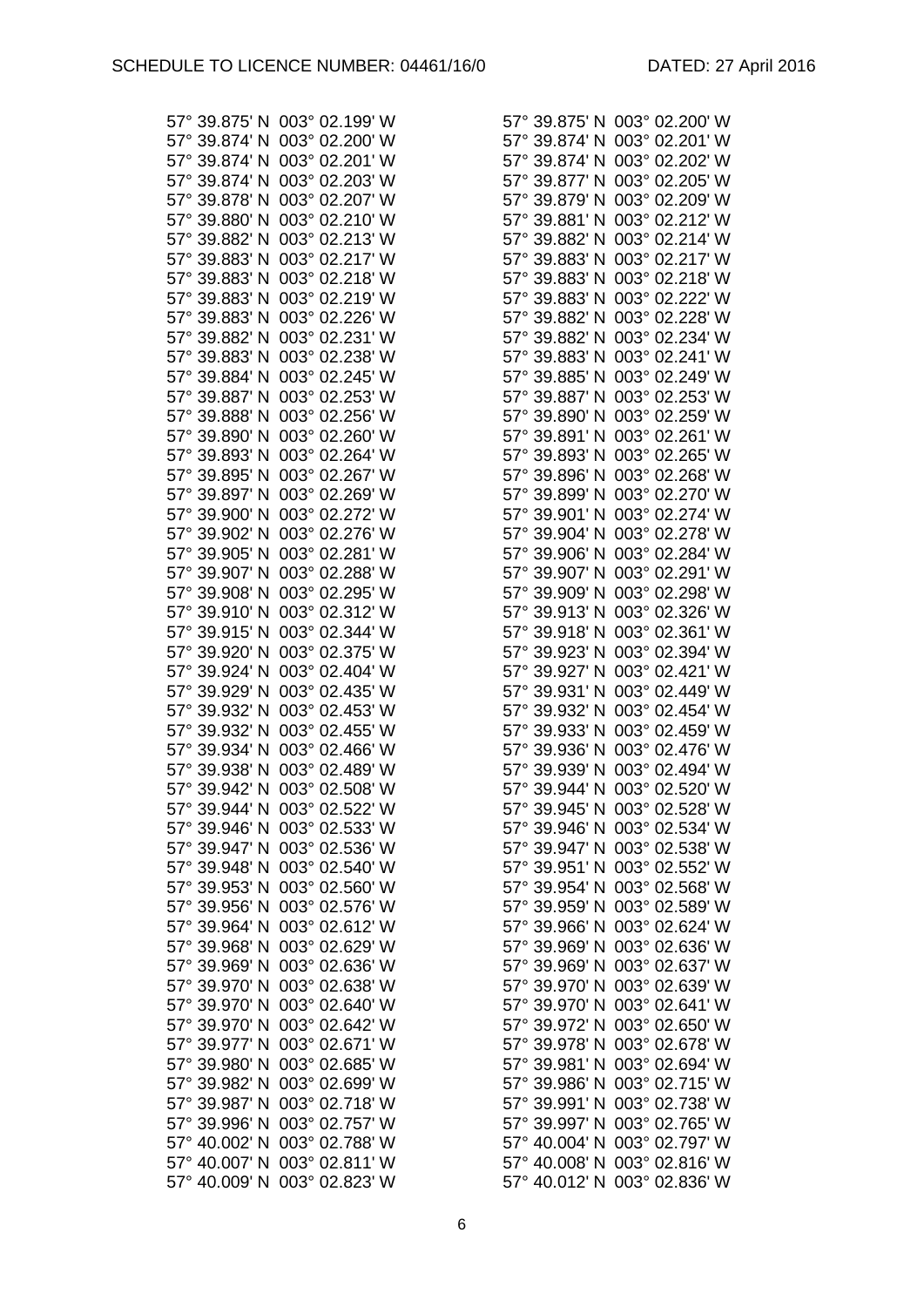57° 40.009' N 003° 02.823' W 57° 40.012' N 003° 02.836' W

| 57° 39.875' N 003° 02.199' W                                 | 57° 39.875' N 003° 02.200' W                                 |
|--------------------------------------------------------------|--------------------------------------------------------------|
| 57° 39.874' N 003° 02.200' W                                 | 57° 39.874' N 003° 02.201' W                                 |
| 57° 39.874' N 003° 02.201' W                                 | 57° 39.874' N 003° 02.202' W                                 |
| 57° 39.874' N 003° 02.203' W                                 | 57° 39.877' N 003° 02.205' W                                 |
| 57° 39.878' N 003° 02.207' W                                 | 57° 39.879' N 003° 02.209' W                                 |
| 57° 39.880' N 003° 02.210' W                                 | 57° 39.881' N 003° 02.212' W                                 |
| 57° 39.882' N 003° 02.213' W                                 | 57° 39.882' N 003° 02.214' W                                 |
| 57° 39.883' N 003° 02.217' W                                 | 57° 39.883' N 003° 02.217' W                                 |
| 57° 39.883' N 003° 02.218' W                                 | 57° 39.883' N 003° 02.218' W                                 |
| 57° 39.883' N 003° 02.219' W                                 | 57° 39.883' N 003° 02.222' W                                 |
| 57° 39.883' N 003° 02.226' W                                 | 57° 39.882' N 003° 02.228' W                                 |
| 57° 39.882' N 003° 02.231' W                                 | 57° 39.882' N 003° 02.234' W                                 |
| 57° 39.883' N 003° 02.238' W                                 | 57° 39.883' N 003° 02.241' W                                 |
| 57° 39.884' N 003° 02.245' W                                 | 57° 39.885' N 003° 02.249' W                                 |
| 57° 39.887' N 003° 02.253' W                                 | 57° 39.887' N 003° 02.253' W                                 |
| 57° 39.888' N 003° 02.256' W                                 | 57° 39.890' N 003° 02.259' W                                 |
| 57° 39.890' N 003° 02.260' W                                 | 57° 39.891' N 003° 02.261' W                                 |
| 57° 39.893' N 003° 02.264' W                                 | 57° 39.893' N 003° 02.265' W                                 |
| 57° 39.895' N 003° 02.267' W                                 | 57° 39.896' N 003° 02.268' W                                 |
| 57° 39.897' N 003° 02.269' W                                 | 57° 39.899' N 003° 02.270' W                                 |
| 57° 39.900' N 003° 02.272' W                                 | 57° 39.901' N 003° 02.274' W                                 |
| 57° 39.902' N 003° 02.276' W                                 | 57° 39.904' N 003° 02.278' W                                 |
| 57° 39.905' N 003° 02.281' W                                 | 57° 39.906' N 003° 02.284' W                                 |
| 57° 39.907' N 003° 02.288' W                                 | 57° 39.907' N 003° 02.291' W                                 |
| 57° 39.908' N 003° 02.295' W                                 | 57° 39.909' N 003° 02.298' W                                 |
| 57° 39.910' N 003° 02.312' W                                 | 57° 39.913' N 003° 02.326' W                                 |
| 57° 39.915' N 003° 02.344' W                                 | 57° 39.918' N 003° 02.361' W                                 |
| 57° 39.920' N 003° 02.375' W                                 | 57° 39.923' N 003° 02.394' W                                 |
| 57° 39.924' N 003° 02.404' W                                 | 57° 39.927' N 003° 02.421' W                                 |
| 57° 39.929' N 003° 02.435' W                                 | 57° 39.931' N 003° 02.449' W                                 |
| 57° 39.932' N 003° 02.453' W                                 | 57° 39.932' N 003° 02.454' W                                 |
| 57° 39.932' N 003° 02.455' W<br>57° 39.934' N 003° 02.466' W | 57° 39.933' N 003° 02.459' W<br>57° 39.936' N 003° 02.476' W |
|                                                              | 57° 39.939' N 003° 02.494' W                                 |
| 57° 39.938' N 003° 02.489' W<br>57° 39.942' N 003° 02.508' W | 57° 39.944' N 003° 02.520' W                                 |
| 57° 39.944' N 003° 02.522' W                                 | 57° 39.945' N 003° 02.528' W                                 |
| 57° 39.946' N 003° 02.533' W                                 | 57° 39.946' N 003° 02.534' W                                 |
| 57° 39.947' N 003° 02.536' W                                 | 57° 39.947' N 003° 02.538' W                                 |
| 57° 39.948' N 003° 02.540' W                                 | 57° 39.951' N 003° 02.552' W                                 |
| 57° 39.953' N 003° 02.560' W                                 | 57° 39.954' N 003° 02.568' W                                 |
| 57° 39.956' N 003° 02.576' W                                 | 57° 39.959' N 003° 02.589' W                                 |
| 57° 39.964' N 003° 02.612' W                                 | 57° 39.966' N 003° 02.624' W                                 |
| 57° 39.968' N 003° 02.629' W                                 | 57° 39.969' N 003° 02.636' W                                 |
| 57° 39.969' N 003° 02.636' W                                 | 57° 39.969' N 003° 02.637' W                                 |
| 57° 39.970' N 003° 02.638' W                                 | 57° 39.970' N 003° 02.639' W                                 |
| 57° 39.970' N 003° 02.640' W                                 | 57° 39.970' N 003° 02.641' W                                 |
| 57° 39.970' N 003° 02.642' W                                 | 57° 39.972' N 003° 02.650' W                                 |
| 57° 39.977' N 003° 02.671' W                                 | 57° 39.978' N 003° 02.678' W                                 |
| 57° 39.980' N 003° 02.685' W                                 | 57° 39.981' N 003° 02.694' W                                 |
| 57° 39.982' N 003° 02.699' W                                 | 57° 39.986' N 003° 02.715' W                                 |
| 57° 39.987' N 003° 02.718' W                                 | 57° 39.991' N 003° 02.738' W                                 |
| 57° 39.996' N 003° 02.757' W                                 | 57° 39.997' N 003° 02.765' W                                 |
| 57° 40.002' N 003° 02.788' W                                 | 57° 40.004' N 003° 02.797' W                                 |
| 57° 40.007' N 003° 02.811' W                                 | 57° 40.008' N 003° 02.816' W                                 |

| 57° 39.875' N              | 003° 02.200' W           |
|----------------------------|--------------------------|
| 57° 39.874'<br>N           | 02.201' W<br>$003^\circ$ |
|                            |                          |
| 57° 39.874'<br>N           | $003^\circ$<br>02.202' W |
| 57° 39.877'<br>N           | $003^\circ$<br>02.205' W |
| N<br>57° 39.879'           | 02.209' W<br>003°        |
| N                          | 02.212' W<br>003°        |
| 57° 39.881'                |                          |
| 39.882' N<br>$57^\circ$    | 02.214' W<br>003°        |
| 39.883' N<br>$57^\circ$    | 02.217' W<br>003°        |
| $57^\circ$<br>39.883' N    | 02.218' W<br>003°        |
|                            |                          |
| 57° 39.883'<br>N           | 003°<br>02.222' W        |
| 57° 39.882'<br>N           | $003^\circ$<br>02.228' W |
| 57° 39.882'<br>N           | $003^\circ$<br>02.234' W |
| 57° 39.883'<br>Ν           | 003°<br>02.241'W         |
|                            |                          |
| N<br>57° 39.885'           | 003°<br>02.249' W        |
| 57° 39.887' N              | 02.253' W<br>003°        |
| 57° 39.890' N              | 02.259' W<br>003°        |
| 57° 39.891' N              | 02.261' W<br>003°        |
|                            |                          |
| 57° 39.893' N              | 02.265' W<br>003°        |
| 57° 39.896'<br>N           | $003^\circ$<br>02.268' W |
| 57° 39.899'<br>N           | 02.270' W<br>$003^\circ$ |
| 57° 39.901'<br>N           | $003^\circ$<br>02.274' W |
|                            |                          |
| 57° 39.904'<br>N           | 003°<br>02.278' W        |
| 57° 39.906'<br>N           | 003°<br>02.284' W        |
| 39.907'<br>$57^\circ$<br>N | 02.291'W<br>003°         |
| 57° 39.909' N              | 02.298' W<br>003°        |
| 39.913' N<br>$57^\circ$    | 02.326' W<br>003°        |
| $57^\circ$<br>N            | 003°                     |
| 39.918'                    | 02.361' W                |
| 57° 39.923'<br>N           | 003°<br>02.394' W        |
| 57° 39.927'<br>N           | 003°<br>02.421'W         |
| 57° 39.931'<br>N           | 003°<br>02.449' W        |
| 57° 39.932'<br>N           | 003°<br>02.454' W        |
| 57° 39.933'<br>N           | 02.459' W<br>$003^\circ$ |
|                            |                          |
| 57° 39.936'<br>Ν           | 02.476' W<br>$003^\circ$ |
| 57° 39.939'<br>Ν           | 02.494' W<br>$003^\circ$ |
| 57° 39.944' N              | 003° 02.520' W           |
| $57^\circ$<br>39.945' N    | 02.528' W<br>$003^\circ$ |
| $57^\circ$<br>39.946'<br>N | 003°<br>02.534' W        |
|                            |                          |
| $57^\circ$<br>39.947'<br>N | 003°<br>02.538' W        |
| 57° 39.951'<br>N           | $003^\circ$<br>02.552' W |
| 39.954'<br>N<br>$57^\circ$ | 003°<br>02.568' W        |
| $57^\circ$<br>39.959'<br>N | 003°<br>02.589' W        |
| 39.966'<br>N<br>$57^\circ$ | 003°<br>02.624' W        |
|                            |                          |
| $57^\circ$<br>39.969'<br>N | 003°<br>02.636' W        |
| 39.969'<br>$57^\circ$<br>N | 003°<br>02.637' W        |
| 39.970'<br>N<br>$57^\circ$ | 003°<br>02.639' W        |
| N<br>$57^\circ$<br>39.970' | 003°<br>02.641'W         |
| $57^\circ$<br>39.972'<br>N | $003^\circ$<br>02.650' W |
|                            |                          |
| 57° 39.978'<br>N           | 003°<br>02.678' W        |
| 57° 39.981'<br>N           | $003^\circ$<br>02.694' W |
| $57^\circ$<br>39.986'<br>N | 003°<br>02.715' W        |
| $57^\circ$<br>39.991'<br>N | 003°<br>02.738' W        |
| 39.997'<br>$57^\circ$<br>N | 003°<br>02.765' W        |
| 57° 40.004'                | 02.797' W<br>003°        |
| N                          |                          |
| 57° 40.008'<br>N           | 02.816' W<br>003°        |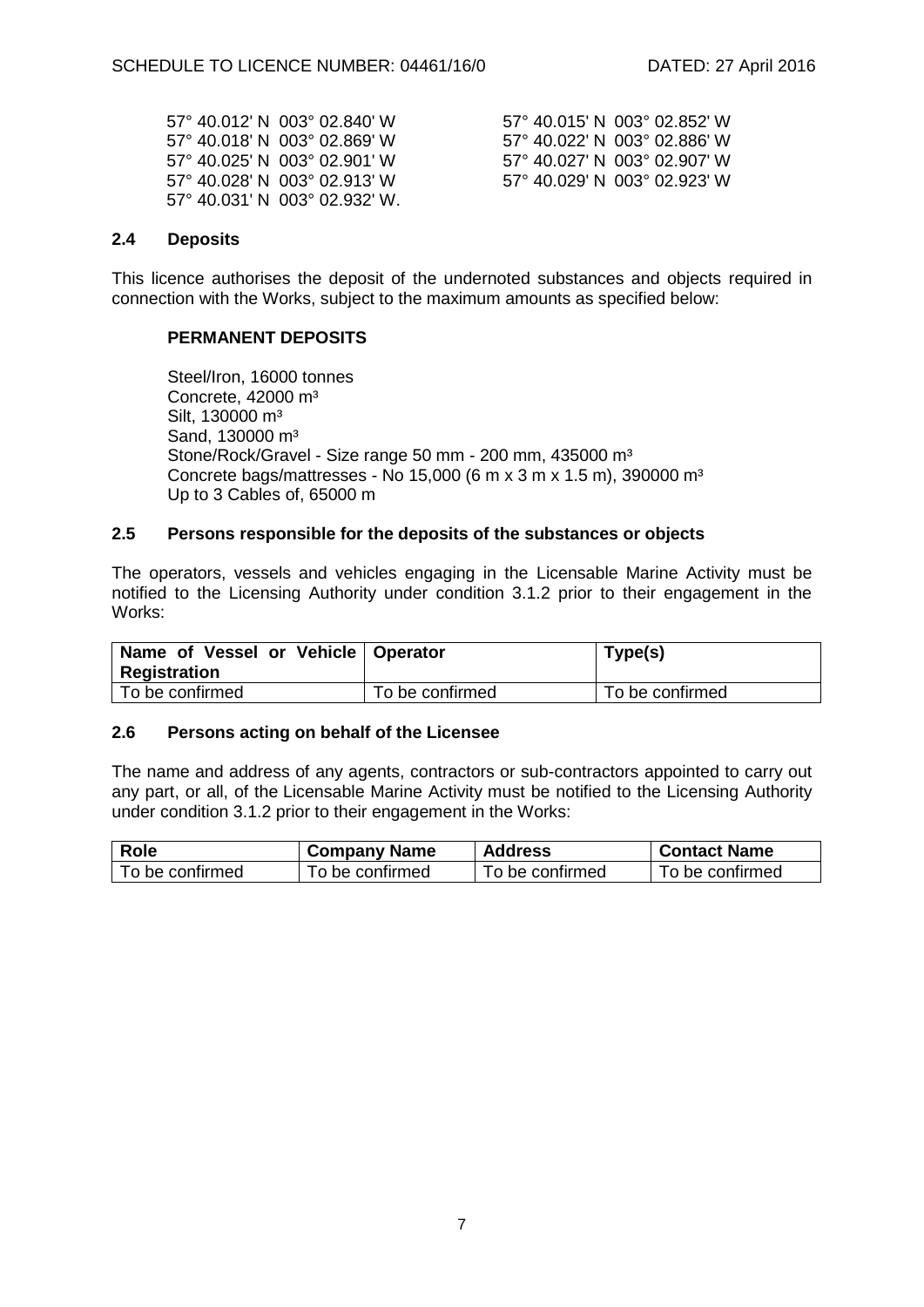|  | 57° 40.012′ N 003° 02.840′ W  |
|--|-------------------------------|
|  | 57° 40.018′ N 003° 02.869′ W  |
|  | 57° 40.025′ N 003° 02.901′ W  |
|  | 57° 40.028′ N 003° 02.913′ W  |
|  | 57° 40.031′ N 003° 02.932′ W. |

57° 40.015' N 003° 02.852' W 57° 40.022' N 003° 02.886' W 57° 40.027' N 003° 02.907' W 57° 40.029' N 003° 02.923' W

#### **2.4 Deposits**

This licence authorises the deposit of the undernoted substances and objects required in connection with the Works, subject to the maximum amounts as specified below:

#### **PERMANENT DEPOSITS**

Steel/Iron, 16000 tonnes Concrete, 42000 m³ Silt, 130000 m<sup>3</sup> Sand, 130000 m<sup>3</sup> Stone/Rock/Gravel - Size range 50 mm - 200 mm, 435000 m<sup>3</sup> Concrete bags/mattresses - No 15,000 (6 m x 3 m x 1.5 m), 390000 m³ Up to 3 Cables of, 65000 m

#### **2.5 Persons responsible for the deposits of the substances or objects**

The operators, vessels and vehicles engaging in the Licensable Marine Activity must be notified to the Licensing Authority under condition 3.1.2 prior to their engagement in the Works:

| Name of Vessel or Vehicle   Operator<br>Registration |                 | Type(s)         |
|------------------------------------------------------|-----------------|-----------------|
| To be confirmed                                      | To be confirmed | To be confirmed |

#### **2.6 Persons acting on behalf of the Licensee**

The name and address of any agents, contractors or sub-contractors appointed to carry out any part, or all, of the Licensable Marine Activity must be notified to the Licensing Authority under condition 3.1.2 prior to their engagement in the Works:

| <b>Role</b>     | <b>Company Name</b> | <b>Address</b>  | <b>Contact Name</b> |
|-----------------|---------------------|-----------------|---------------------|
| To be confirmed | To be confirmed     | To be confirmed | To be confirmed     |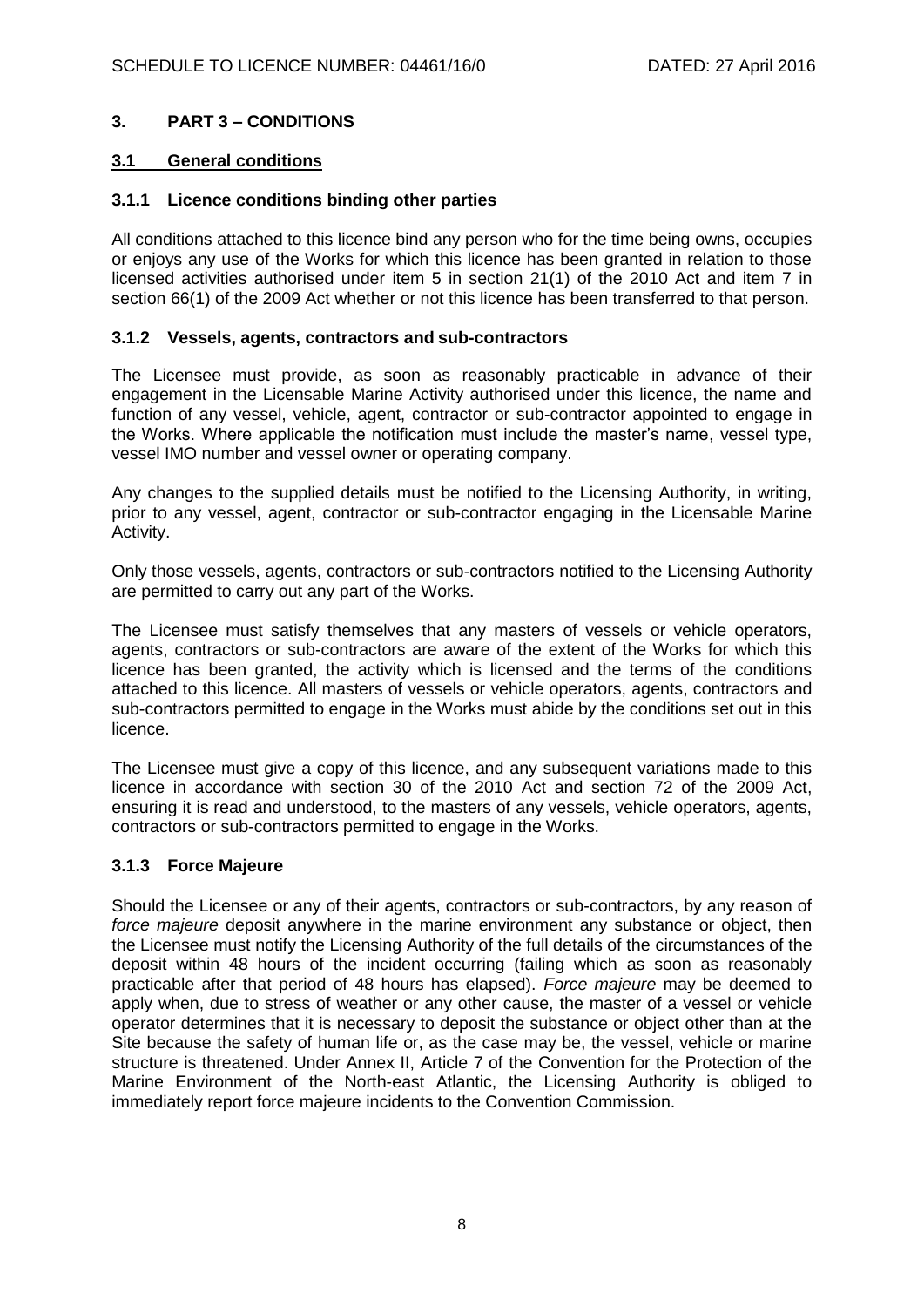## **3. PART 3 – CONDITIONS**

### **3.1 General conditions**

#### **3.1.1 Licence conditions binding other parties**

All conditions attached to this licence bind any person who for the time being owns, occupies or enjoys any use of the Works for which this licence has been granted in relation to those licensed activities authorised under item 5 in section 21(1) of the 2010 Act and item 7 in section 66(1) of the 2009 Act whether or not this licence has been transferred to that person.

#### **3.1.2 Vessels, agents, contractors and sub-contractors**

The Licensee must provide, as soon as reasonably practicable in advance of their engagement in the Licensable Marine Activity authorised under this licence, the name and function of any vessel, vehicle, agent, contractor or sub-contractor appointed to engage in the Works. Where applicable the notification must include the master's name, vessel type, vessel IMO number and vessel owner or operating company.

Any changes to the supplied details must be notified to the Licensing Authority, in writing, prior to any vessel, agent, contractor or sub-contractor engaging in the Licensable Marine Activity.

Only those vessels, agents, contractors or sub-contractors notified to the Licensing Authority are permitted to carry out any part of the Works.

The Licensee must satisfy themselves that any masters of vessels or vehicle operators, agents, contractors or sub-contractors are aware of the extent of the Works for which this licence has been granted, the activity which is licensed and the terms of the conditions attached to this licence. All masters of vessels or vehicle operators, agents, contractors and sub-contractors permitted to engage in the Works must abide by the conditions set out in this licence.

The Licensee must give a copy of this licence, and any subsequent variations made to this licence in accordance with section 30 of the 2010 Act and section 72 of the 2009 Act, ensuring it is read and understood, to the masters of any vessels, vehicle operators, agents, contractors or sub-contractors permitted to engage in the Works.

### **3.1.3 Force Majeure**

Should the Licensee or any of their agents, contractors or sub-contractors, by any reason of *force majeure* deposit anywhere in the marine environment any substance or object, then the Licensee must notify the Licensing Authority of the full details of the circumstances of the deposit within 48 hours of the incident occurring (failing which as soon as reasonably practicable after that period of 48 hours has elapsed). *Force majeure* may be deemed to apply when, due to stress of weather or any other cause, the master of a vessel or vehicle operator determines that it is necessary to deposit the substance or object other than at the Site because the safety of human life or, as the case may be, the vessel, vehicle or marine structure is threatened. Under Annex II, Article 7 of the Convention for the Protection of the Marine Environment of the North-east Atlantic, the Licensing Authority is obliged to immediately report force majeure incidents to the Convention Commission.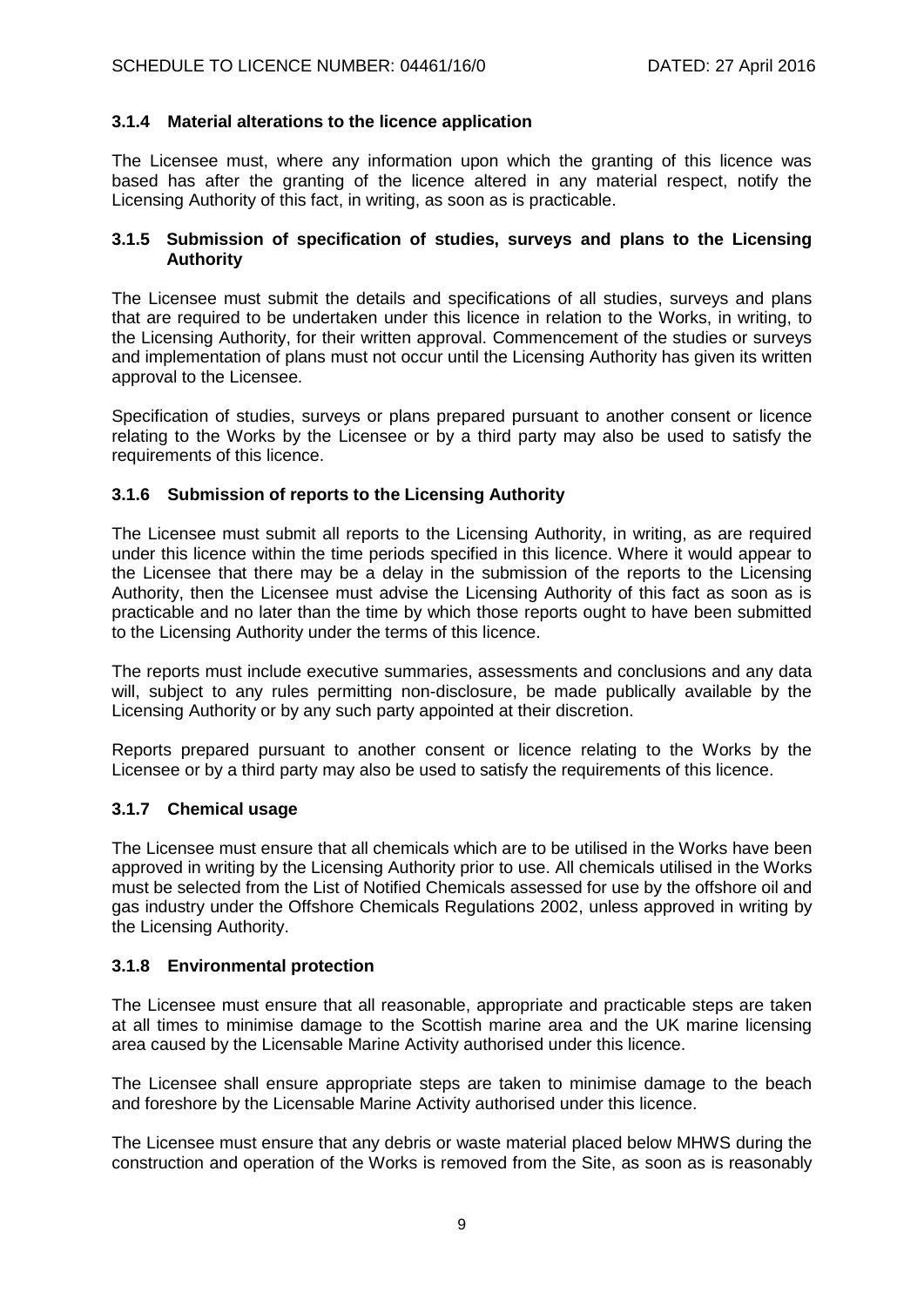## **3.1.4 Material alterations to the licence application**

The Licensee must, where any information upon which the granting of this licence was based has after the granting of the licence altered in any material respect, notify the Licensing Authority of this fact, in writing, as soon as is practicable.

#### **3.1.5 Submission of specification of studies, surveys and plans to the Licensing Authority**

The Licensee must submit the details and specifications of all studies, surveys and plans that are required to be undertaken under this licence in relation to the Works, in writing, to the Licensing Authority, for their written approval. Commencement of the studies or surveys and implementation of plans must not occur until the Licensing Authority has given its written approval to the Licensee.

Specification of studies, surveys or plans prepared pursuant to another consent or licence relating to the Works by the Licensee or by a third party may also be used to satisfy the requirements of this licence.

### **3.1.6 Submission of reports to the Licensing Authority**

The Licensee must submit all reports to the Licensing Authority, in writing, as are required under this licence within the time periods specified in this licence. Where it would appear to the Licensee that there may be a delay in the submission of the reports to the Licensing Authority, then the Licensee must advise the Licensing Authority of this fact as soon as is practicable and no later than the time by which those reports ought to have been submitted to the Licensing Authority under the terms of this licence.

The reports must include executive summaries, assessments and conclusions and any data will, subject to any rules permitting non-disclosure, be made publically available by the Licensing Authority or by any such party appointed at their discretion.

Reports prepared pursuant to another consent or licence relating to the Works by the Licensee or by a third party may also be used to satisfy the requirements of this licence.

### **3.1.7 Chemical usage**

The Licensee must ensure that all chemicals which are to be utilised in the Works have been approved in writing by the Licensing Authority prior to use. All chemicals utilised in the Works must be selected from the List of Notified Chemicals assessed for use by the offshore oil and gas industry under the Offshore Chemicals Regulations 2002, unless approved in writing by the Licensing Authority.

### **3.1.8 Environmental protection**

The Licensee must ensure that all reasonable, appropriate and practicable steps are taken at all times to minimise damage to the Scottish marine area and the UK marine licensing area caused by the Licensable Marine Activity authorised under this licence.

The Licensee shall ensure appropriate steps are taken to minimise damage to the beach and foreshore by the Licensable Marine Activity authorised under this licence.

The Licensee must ensure that any debris or waste material placed below MHWS during the construction and operation of the Works is removed from the Site, as soon as is reasonably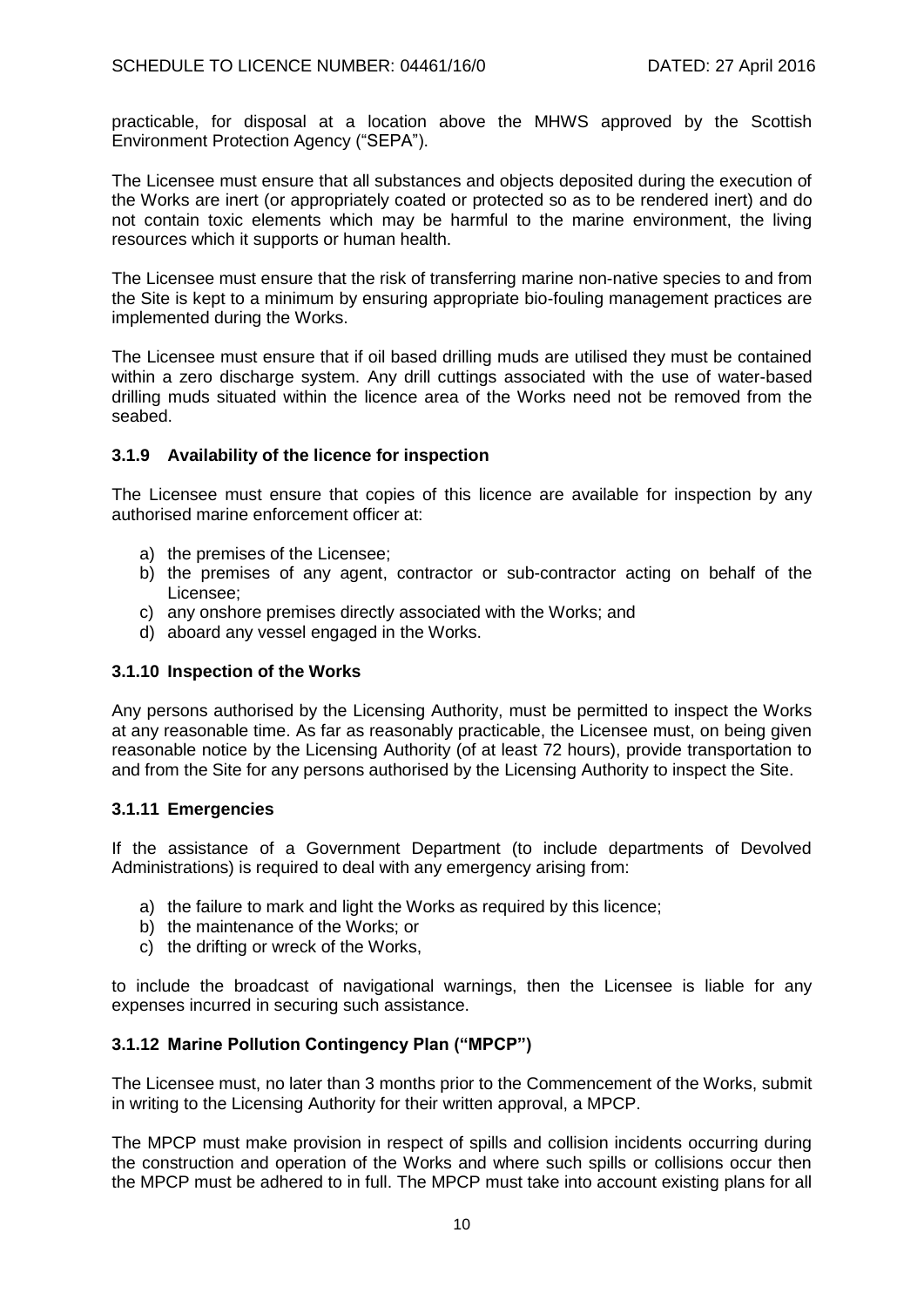practicable, for disposal at a location above the MHWS approved by the Scottish Environment Protection Agency ("SEPA").

The Licensee must ensure that all substances and objects deposited during the execution of the Works are inert (or appropriately coated or protected so as to be rendered inert) and do not contain toxic elements which may be harmful to the marine environment, the living resources which it supports or human health.

The Licensee must ensure that the risk of transferring marine non-native species to and from the Site is kept to a minimum by ensuring appropriate bio-fouling management practices are implemented during the Works.

The Licensee must ensure that if oil based drilling muds are utilised they must be contained within a zero discharge system. Any drill cuttings associated with the use of water-based drilling muds situated within the licence area of the Works need not be removed from the seabed.

### **3.1.9 Availability of the licence for inspection**

The Licensee must ensure that copies of this licence are available for inspection by any authorised marine enforcement officer at:

- a) the premises of the Licensee;
- b) the premises of any agent, contractor or sub-contractor acting on behalf of the Licensee;
- c) any onshore premises directly associated with the Works; and
- d) aboard any vessel engaged in the Works.

### **3.1.10 Inspection of the Works**

Any persons authorised by the Licensing Authority, must be permitted to inspect the Works at any reasonable time. As far as reasonably practicable, the Licensee must, on being given reasonable notice by the Licensing Authority (of at least 72 hours), provide transportation to and from the Site for any persons authorised by the Licensing Authority to inspect the Site.

### **3.1.11 Emergencies**

If the assistance of a Government Department (to include departments of Devolved Administrations) is required to deal with any emergency arising from:

- a) the failure to mark and light the Works as required by this licence;
- b) the maintenance of the Works; or
- c) the drifting or wreck of the Works,

to include the broadcast of navigational warnings, then the Licensee is liable for any expenses incurred in securing such assistance.

## **3.1.12 Marine Pollution Contingency Plan ("MPCP")**

The Licensee must, no later than 3 months prior to the Commencement of the Works, submit in writing to the Licensing Authority for their written approval, a MPCP.

The MPCP must make provision in respect of spills and collision incidents occurring during the construction and operation of the Works and where such spills or collisions occur then the MPCP must be adhered to in full. The MPCP must take into account existing plans for all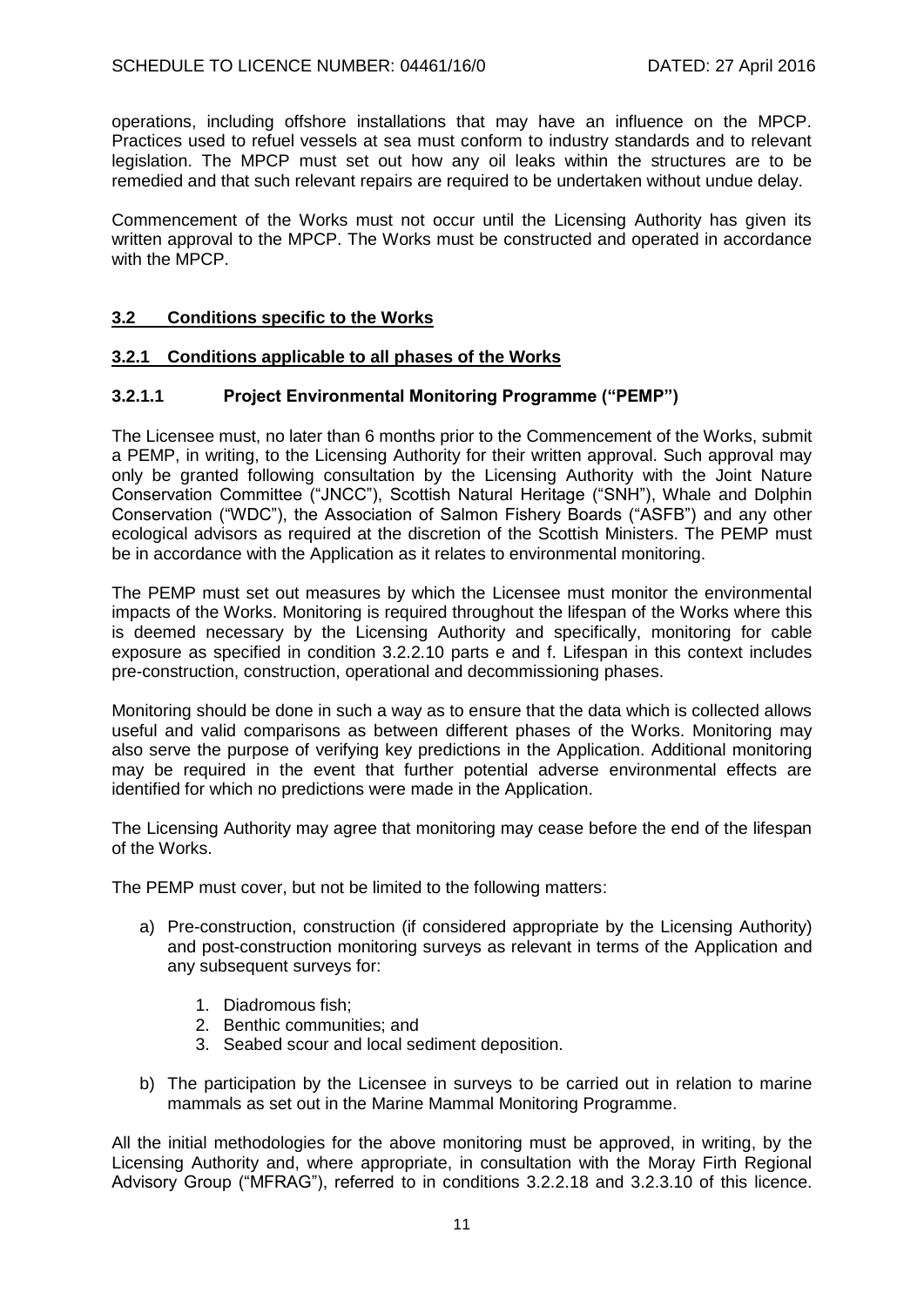operations, including offshore installations that may have an influence on the MPCP. Practices used to refuel vessels at sea must conform to industry standards and to relevant legislation. The MPCP must set out how any oil leaks within the structures are to be remedied and that such relevant repairs are required to be undertaken without undue delay.

Commencement of the Works must not occur until the Licensing Authority has given its written approval to the MPCP. The Works must be constructed and operated in accordance with the MPCP.

### **3.2 Conditions specific to the Works**

### **3.2.1 Conditions applicable to all phases of the Works**

## **3.2.1.1 Project Environmental Monitoring Programme ("PEMP")**

The Licensee must, no later than 6 months prior to the Commencement of the Works, submit a PEMP, in writing, to the Licensing Authority for their written approval. Such approval may only be granted following consultation by the Licensing Authority with the Joint Nature Conservation Committee ("JNCC"), Scottish Natural Heritage ("SNH"), Whale and Dolphin Conservation ("WDC"), the Association of Salmon Fishery Boards ("ASFB") and any other ecological advisors as required at the discretion of the Scottish Ministers. The PEMP must be in accordance with the Application as it relates to environmental monitoring.

The PEMP must set out measures by which the Licensee must monitor the environmental impacts of the Works. Monitoring is required throughout the lifespan of the Works where this is deemed necessary by the Licensing Authority and specifically, monitoring for cable exposure as specified in condition 3.2.2.10 parts e and f. Lifespan in this context includes pre-construction, construction, operational and decommissioning phases.

Monitoring should be done in such a way as to ensure that the data which is collected allows useful and valid comparisons as between different phases of the Works. Monitoring may also serve the purpose of verifying key predictions in the Application. Additional monitoring may be required in the event that further potential adverse environmental effects are identified for which no predictions were made in the Application.

The Licensing Authority may agree that monitoring may cease before the end of the lifespan of the Works.

The PEMP must cover, but not be limited to the following matters:

- a) Pre-construction, construction (if considered appropriate by the Licensing Authority) and post-construction monitoring surveys as relevant in terms of the Application and any subsequent surveys for:
	- 1. Diadromous fish;
	- 2. Benthic communities; and
	- 3. Seabed scour and local sediment deposition.
- b) The participation by the Licensee in surveys to be carried out in relation to marine mammals as set out in the Marine Mammal Monitoring Programme.

All the initial methodologies for the above monitoring must be approved, in writing, by the Licensing Authority and, where appropriate, in consultation with the Moray Firth Regional Advisory Group ("MFRAG"), referred to in conditions 3.2.2.18 and 3.2.3.10 of this licence.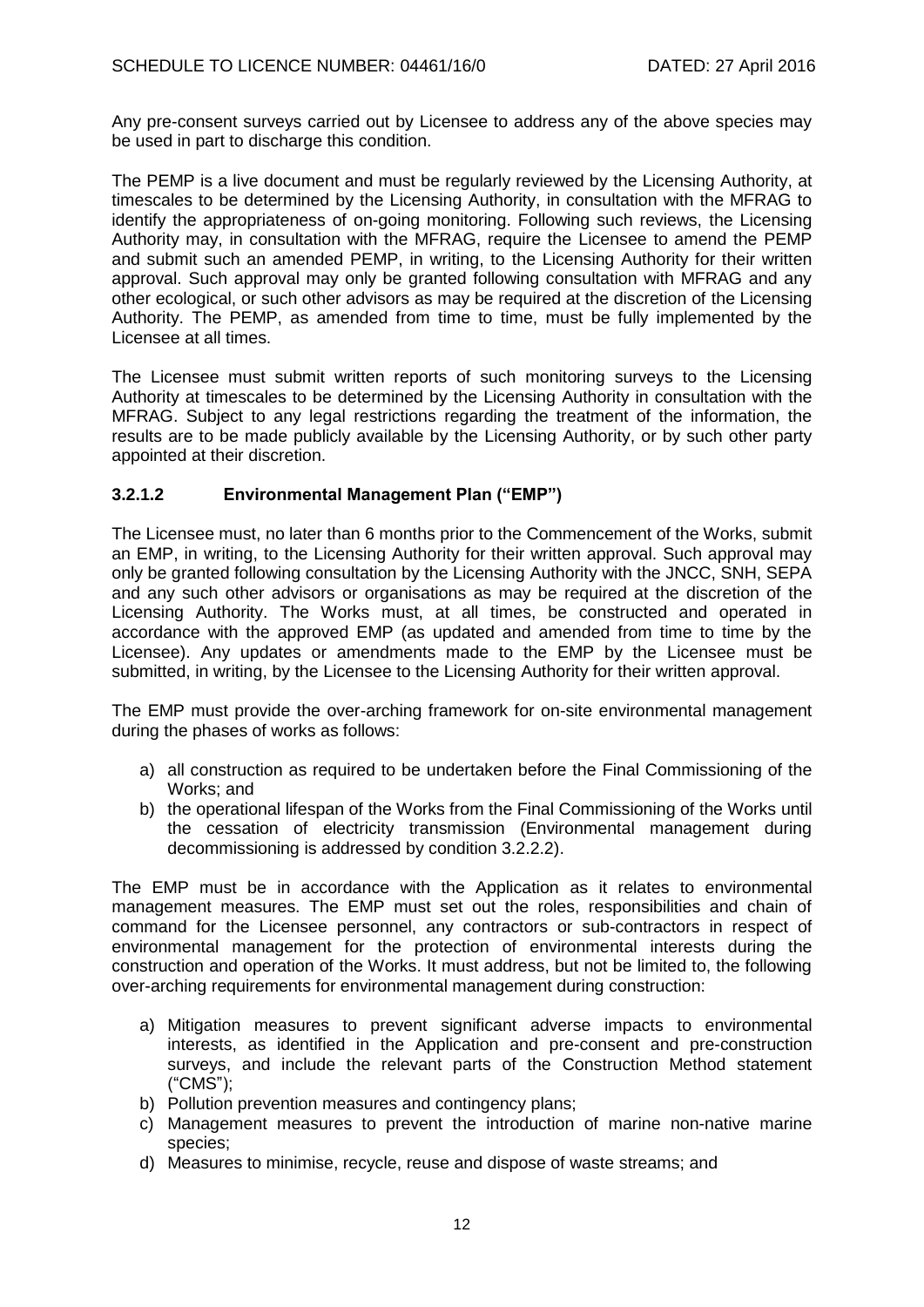Any pre-consent surveys carried out by Licensee to address any of the above species may be used in part to discharge this condition.

The PEMP is a live document and must be regularly reviewed by the Licensing Authority, at timescales to be determined by the Licensing Authority, in consultation with the MFRAG to identify the appropriateness of on-going monitoring. Following such reviews, the Licensing Authority may, in consultation with the MFRAG, require the Licensee to amend the PEMP and submit such an amended PEMP, in writing, to the Licensing Authority for their written approval. Such approval may only be granted following consultation with MFRAG and any other ecological, or such other advisors as may be required at the discretion of the Licensing Authority. The PEMP, as amended from time to time, must be fully implemented by the Licensee at all times.

The Licensee must submit written reports of such monitoring surveys to the Licensing Authority at timescales to be determined by the Licensing Authority in consultation with the MFRAG. Subject to any legal restrictions regarding the treatment of the information, the results are to be made publicly available by the Licensing Authority, or by such other party appointed at their discretion.

### **3.2.1.2 Environmental Management Plan ("EMP")**

The Licensee must, no later than 6 months prior to the Commencement of the Works, submit an EMP, in writing, to the Licensing Authority for their written approval. Such approval may only be granted following consultation by the Licensing Authority with the JNCC, SNH, SEPA and any such other advisors or organisations as may be required at the discretion of the Licensing Authority. The Works must, at all times, be constructed and operated in accordance with the approved EMP (as updated and amended from time to time by the Licensee). Any updates or amendments made to the EMP by the Licensee must be submitted, in writing, by the Licensee to the Licensing Authority for their written approval.

The EMP must provide the over-arching framework for on-site environmental management during the phases of works as follows:

- a) all construction as required to be undertaken before the Final Commissioning of the Works; and
- b) the operational lifespan of the Works from the Final Commissioning of the Works until the cessation of electricity transmission (Environmental management during decommissioning is addressed by condition 3.2.2.2).

The EMP must be in accordance with the Application as it relates to environmental management measures. The EMP must set out the roles, responsibilities and chain of command for the Licensee personnel, any contractors or sub-contractors in respect of environmental management for the protection of environmental interests during the construction and operation of the Works. It must address, but not be limited to, the following over-arching requirements for environmental management during construction:

- a) Mitigation measures to prevent significant adverse impacts to environmental interests, as identified in the Application and pre-consent and pre-construction surveys, and include the relevant parts of the Construction Method statement ("CMS");
- b) Pollution prevention measures and contingency plans;
- c) Management measures to prevent the introduction of marine non-native marine species;
- d) Measures to minimise, recycle, reuse and dispose of waste streams; and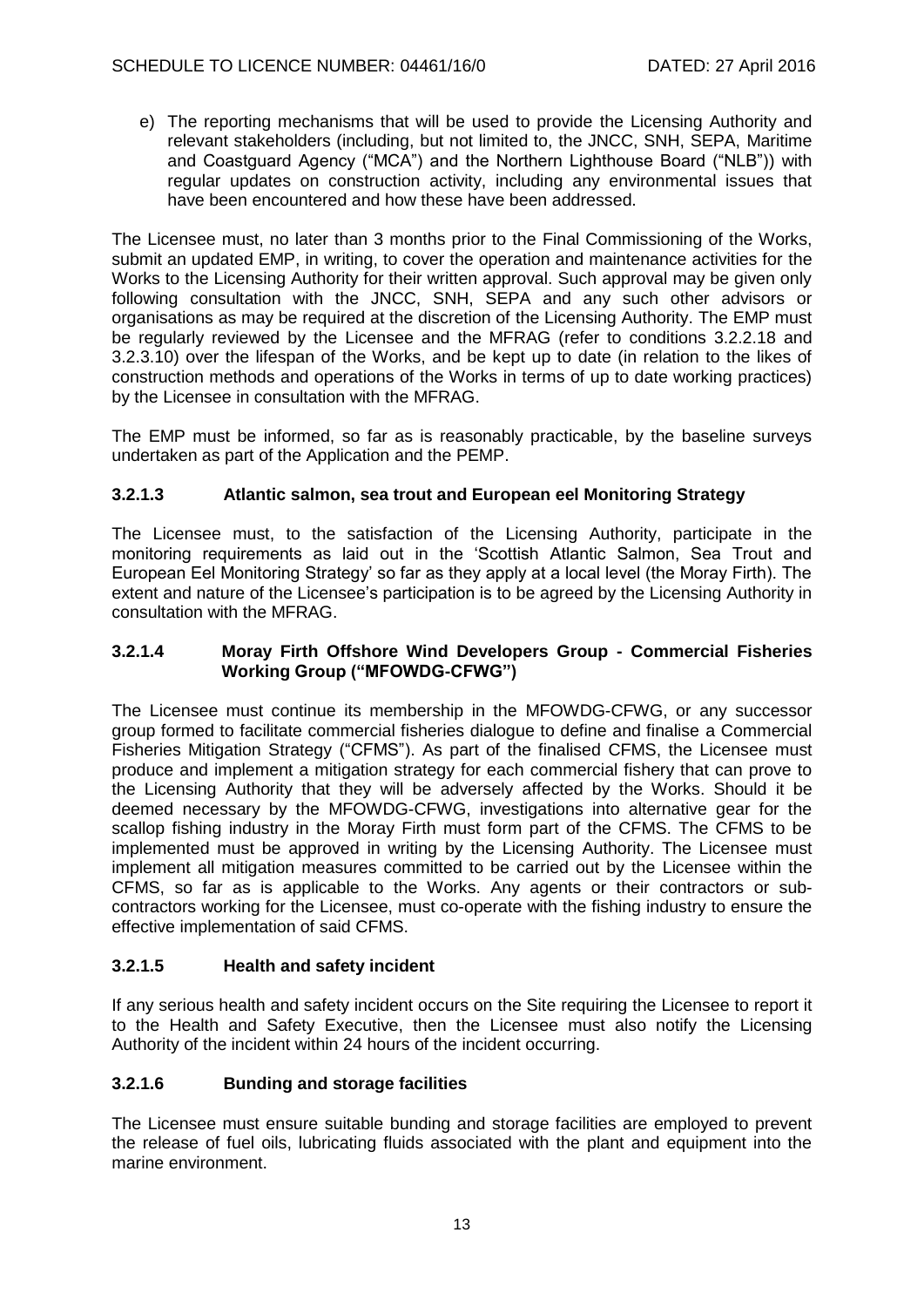e) The reporting mechanisms that will be used to provide the Licensing Authority and relevant stakeholders (including, but not limited to, the JNCC, SNH, SEPA, Maritime and Coastguard Agency ("MCA") and the Northern Lighthouse Board ("NLB")) with regular updates on construction activity, including any environmental issues that have been encountered and how these have been addressed.

The Licensee must, no later than 3 months prior to the Final Commissioning of the Works, submit an updated EMP, in writing, to cover the operation and maintenance activities for the Works to the Licensing Authority for their written approval. Such approval may be given only following consultation with the JNCC, SNH, SEPA and any such other advisors or organisations as may be required at the discretion of the Licensing Authority. The EMP must be regularly reviewed by the Licensee and the MFRAG (refer to conditions 3.2.2.18 and 3.2.3.10) over the lifespan of the Works, and be kept up to date (in relation to the likes of construction methods and operations of the Works in terms of up to date working practices) by the Licensee in consultation with the MFRAG.

The EMP must be informed, so far as is reasonably practicable, by the baseline surveys undertaken as part of the Application and the PEMP.

## **3.2.1.3 Atlantic salmon, sea trout and European eel Monitoring Strategy**

The Licensee must, to the satisfaction of the Licensing Authority, participate in the monitoring requirements as laid out in the 'Scottish Atlantic Salmon, Sea Trout and European Eel Monitoring Strategy' so far as they apply at a local level (the Moray Firth). The extent and nature of the Licensee's participation is to be agreed by the Licensing Authority in consultation with the MFRAG.

#### **3.2.1.4 Moray Firth Offshore Wind Developers Group - Commercial Fisheries Working Group ("MFOWDG-CFWG")**

The Licensee must continue its membership in the MFOWDG-CFWG, or any successor group formed to facilitate commercial fisheries dialogue to define and finalise a Commercial Fisheries Mitigation Strategy ("CFMS"). As part of the finalised CFMS, the Licensee must produce and implement a mitigation strategy for each commercial fishery that can prove to the Licensing Authority that they will be adversely affected by the Works. Should it be deemed necessary by the MFOWDG-CFWG, investigations into alternative gear for the scallop fishing industry in the Moray Firth must form part of the CFMS. The CFMS to be implemented must be approved in writing by the Licensing Authority. The Licensee must implement all mitigation measures committed to be carried out by the Licensee within the CFMS, so far as is applicable to the Works. Any agents or their contractors or subcontractors working for the Licensee, must co-operate with the fishing industry to ensure the effective implementation of said CFMS.

### **3.2.1.5 Health and safety incident**

If any serious health and safety incident occurs on the Site requiring the Licensee to report it to the Health and Safety Executive, then the Licensee must also notify the Licensing Authority of the incident within 24 hours of the incident occurring.

### **3.2.1.6 Bunding and storage facilities**

The Licensee must ensure suitable bunding and storage facilities are employed to prevent the release of fuel oils, lubricating fluids associated with the plant and equipment into the marine environment.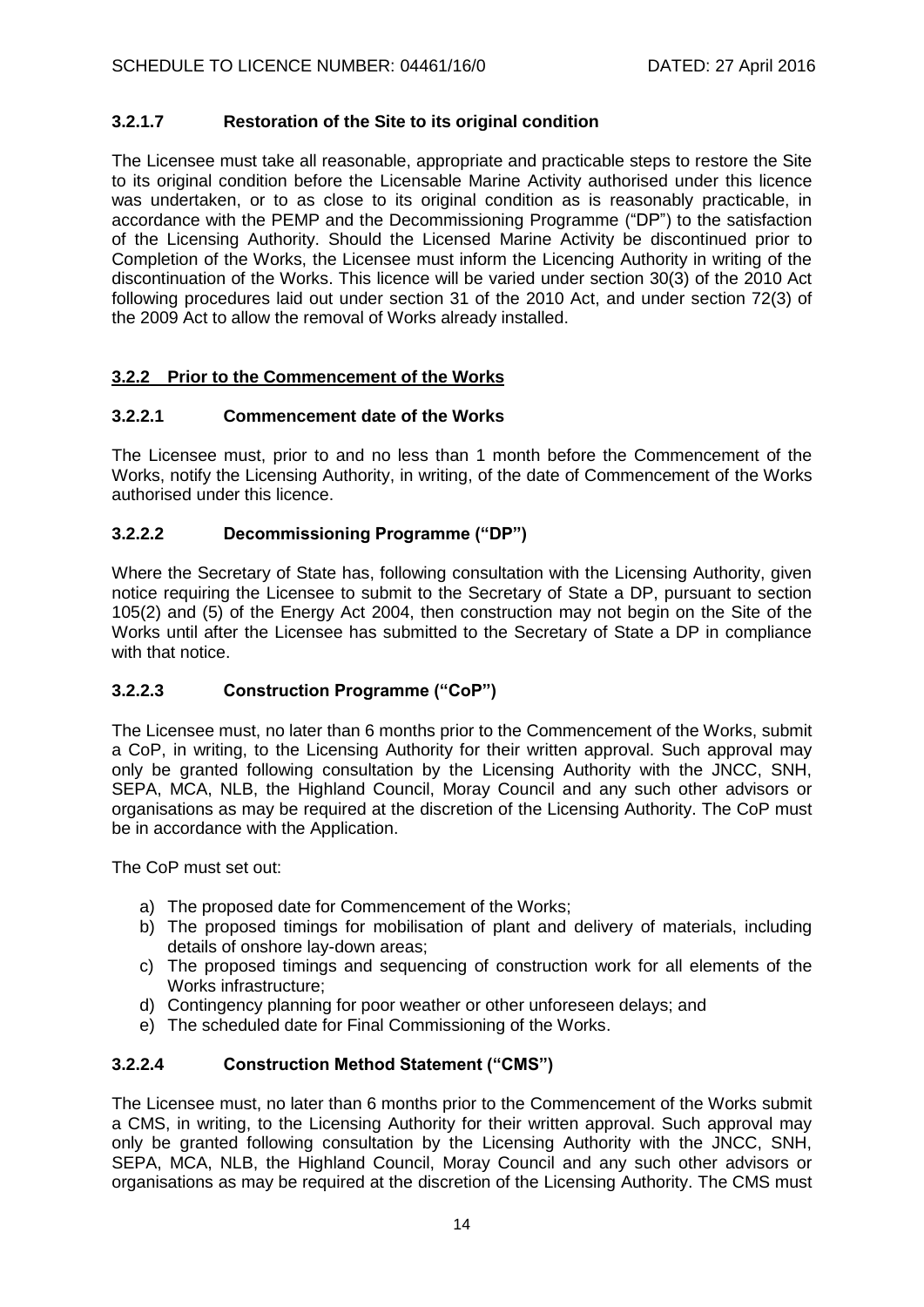## **3.2.1.7 Restoration of the Site to its original condition**

The Licensee must take all reasonable, appropriate and practicable steps to restore the Site to its original condition before the Licensable Marine Activity authorised under this licence was undertaken, or to as close to its original condition as is reasonably practicable, in accordance with the PEMP and the Decommissioning Programme ("DP") to the satisfaction of the Licensing Authority. Should the Licensed Marine Activity be discontinued prior to Completion of the Works, the Licensee must inform the Licencing Authority in writing of the discontinuation of the Works. This licence will be varied under section 30(3) of the 2010 Act following procedures laid out under section 31 of the 2010 Act, and under section 72(3) of the 2009 Act to allow the removal of Works already installed.

## **3.2.2 Prior to the Commencement of the Works**

### **3.2.2.1 Commencement date of the Works**

The Licensee must, prior to and no less than 1 month before the Commencement of the Works, notify the Licensing Authority, in writing, of the date of Commencement of the Works authorised under this licence.

### **3.2.2.2 Decommissioning Programme ("DP")**

Where the Secretary of State has, following consultation with the Licensing Authority, given notice requiring the Licensee to submit to the Secretary of State a DP, pursuant to section 105(2) and (5) of the Energy Act 2004, then construction may not begin on the Site of the Works until after the Licensee has submitted to the Secretary of State a DP in compliance with that notice.

### **3.2.2.3 Construction Programme ("CoP")**

The Licensee must, no later than 6 months prior to the Commencement of the Works, submit a CoP, in writing, to the Licensing Authority for their written approval. Such approval may only be granted following consultation by the Licensing Authority with the JNCC, SNH, SEPA, MCA, NLB, the Highland Council, Moray Council and any such other advisors or organisations as may be required at the discretion of the Licensing Authority. The CoP must be in accordance with the Application.

The CoP must set out:

- a) The proposed date for Commencement of the Works;
- b) The proposed timings for mobilisation of plant and delivery of materials, including details of onshore lay-down areas;
- c) The proposed timings and sequencing of construction work for all elements of the Works infrastructure;
- d) Contingency planning for poor weather or other unforeseen delays; and
- e) The scheduled date for Final Commissioning of the Works.

### **3.2.2.4 Construction Method Statement ("CMS")**

The Licensee must, no later than 6 months prior to the Commencement of the Works submit a CMS, in writing, to the Licensing Authority for their written approval. Such approval may only be granted following consultation by the Licensing Authority with the JNCC, SNH, SEPA, MCA, NLB, the Highland Council, Moray Council and any such other advisors or organisations as may be required at the discretion of the Licensing Authority. The CMS must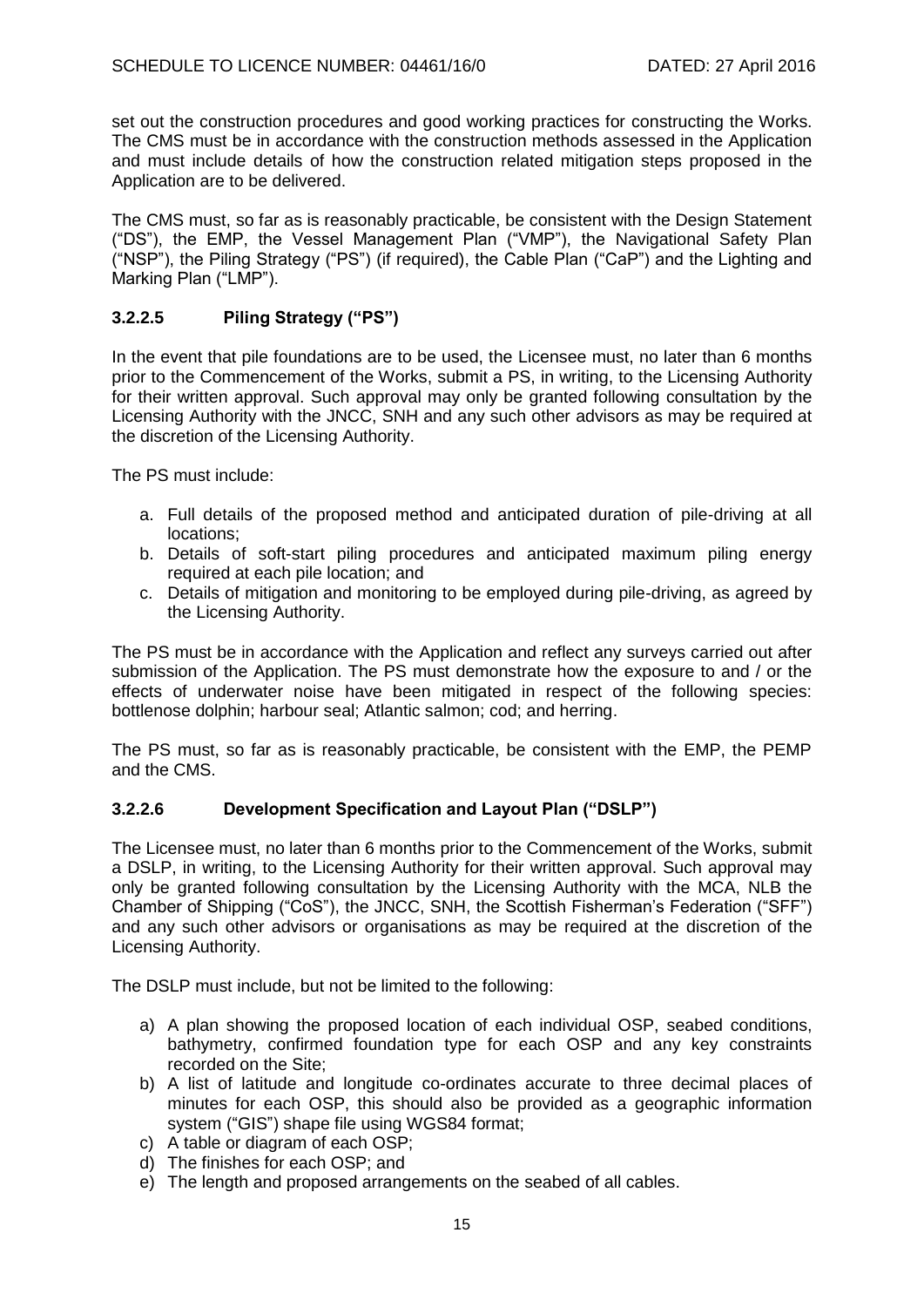set out the construction procedures and good working practices for constructing the Works. The CMS must be in accordance with the construction methods assessed in the Application and must include details of how the construction related mitigation steps proposed in the Application are to be delivered.

The CMS must, so far as is reasonably practicable, be consistent with the Design Statement ("DS"), the EMP, the Vessel Management Plan ("VMP"), the Navigational Safety Plan ("NSP"), the Piling Strategy ("PS") (if required), the Cable Plan ("CaP") and the Lighting and Marking Plan ("LMP").

## **3.2.2.5 Piling Strategy ("PS")**

In the event that pile foundations are to be used, the Licensee must, no later than 6 months prior to the Commencement of the Works, submit a PS, in writing, to the Licensing Authority for their written approval. Such approval may only be granted following consultation by the Licensing Authority with the JNCC, SNH and any such other advisors as may be required at the discretion of the Licensing Authority.

The PS must include:

- a. Full details of the proposed method and anticipated duration of pile-driving at all locations;
- b. Details of soft-start piling procedures and anticipated maximum piling energy required at each pile location; and
- c. Details of mitigation and monitoring to be employed during pile-driving, as agreed by the Licensing Authority.

The PS must be in accordance with the Application and reflect any surveys carried out after submission of the Application. The PS must demonstrate how the exposure to and / or the effects of underwater noise have been mitigated in respect of the following species: bottlenose dolphin; harbour seal; Atlantic salmon; cod; and herring.

The PS must, so far as is reasonably practicable, be consistent with the EMP, the PEMP and the CMS.

## **3.2.2.6 Development Specification and Layout Plan ("DSLP")**

The Licensee must, no later than 6 months prior to the Commencement of the Works, submit a DSLP, in writing, to the Licensing Authority for their written approval. Such approval may only be granted following consultation by the Licensing Authority with the MCA, NLB the Chamber of Shipping ("CoS"), the JNCC, SNH, the Scottish Fisherman's Federation ("SFF") and any such other advisors or organisations as may be required at the discretion of the Licensing Authority.

The DSLP must include, but not be limited to the following:

- a) A plan showing the proposed location of each individual OSP, seabed conditions, bathymetry, confirmed foundation type for each OSP and any key constraints recorded on the Site;
- b) A list of latitude and longitude co-ordinates accurate to three decimal places of minutes for each OSP, this should also be provided as a geographic information system ("GIS") shape file using WGS84 format;
- c) A table or diagram of each OSP;
- d) The finishes for each OSP; and
- e) The length and proposed arrangements on the seabed of all cables.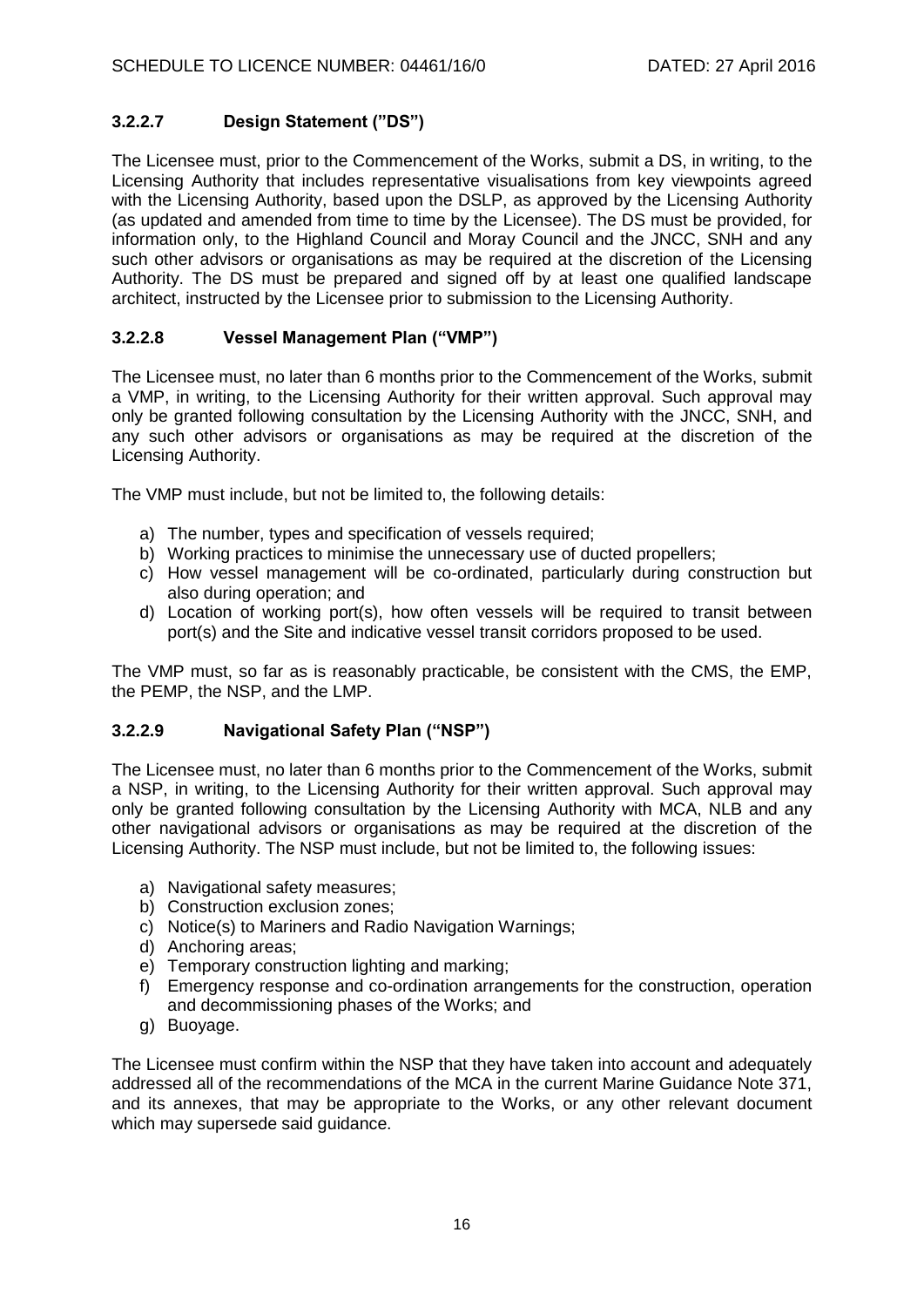# **3.2.2.7 Design Statement ("DS")**

The Licensee must, prior to the Commencement of the Works, submit a DS, in writing, to the Licensing Authority that includes representative visualisations from key viewpoints agreed with the Licensing Authority, based upon the DSLP, as approved by the Licensing Authority (as updated and amended from time to time by the Licensee). The DS must be provided, for information only, to the Highland Council and Moray Council and the JNCC, SNH and any such other advisors or organisations as may be required at the discretion of the Licensing Authority. The DS must be prepared and signed off by at least one qualified landscape architect, instructed by the Licensee prior to submission to the Licensing Authority.

# **3.2.2.8 Vessel Management Plan ("VMP")**

The Licensee must, no later than 6 months prior to the Commencement of the Works, submit a VMP, in writing, to the Licensing Authority for their written approval. Such approval may only be granted following consultation by the Licensing Authority with the JNCC, SNH, and any such other advisors or organisations as may be required at the discretion of the Licensing Authority.

The VMP must include, but not be limited to, the following details:

- a) The number, types and specification of vessels required;
- b) Working practices to minimise the unnecessary use of ducted propellers;
- c) How vessel management will be co-ordinated, particularly during construction but also during operation; and
- d) Location of working port(s), how often vessels will be required to transit between port(s) and the Site and indicative vessel transit corridors proposed to be used.

The VMP must, so far as is reasonably practicable, be consistent with the CMS, the EMP, the PEMP, the NSP, and the LMP.

## **3.2.2.9 Navigational Safety Plan ("NSP")**

The Licensee must, no later than 6 months prior to the Commencement of the Works, submit a NSP, in writing, to the Licensing Authority for their written approval. Such approval may only be granted following consultation by the Licensing Authority with MCA, NLB and any other navigational advisors or organisations as may be required at the discretion of the Licensing Authority. The NSP must include, but not be limited to, the following issues:

- a) Navigational safety measures;
- b) Construction exclusion zones;
- c) Notice(s) to Mariners and Radio Navigation Warnings;
- d) Anchoring areas;
- e) Temporary construction lighting and marking;
- f) Emergency response and co-ordination arrangements for the construction, operation and decommissioning phases of the Works; and
- g) Buoyage.

The Licensee must confirm within the NSP that they have taken into account and adequately addressed all of the recommendations of the MCA in the current Marine Guidance Note 371, and its annexes, that may be appropriate to the Works, or any other relevant document which may supersede said quidance.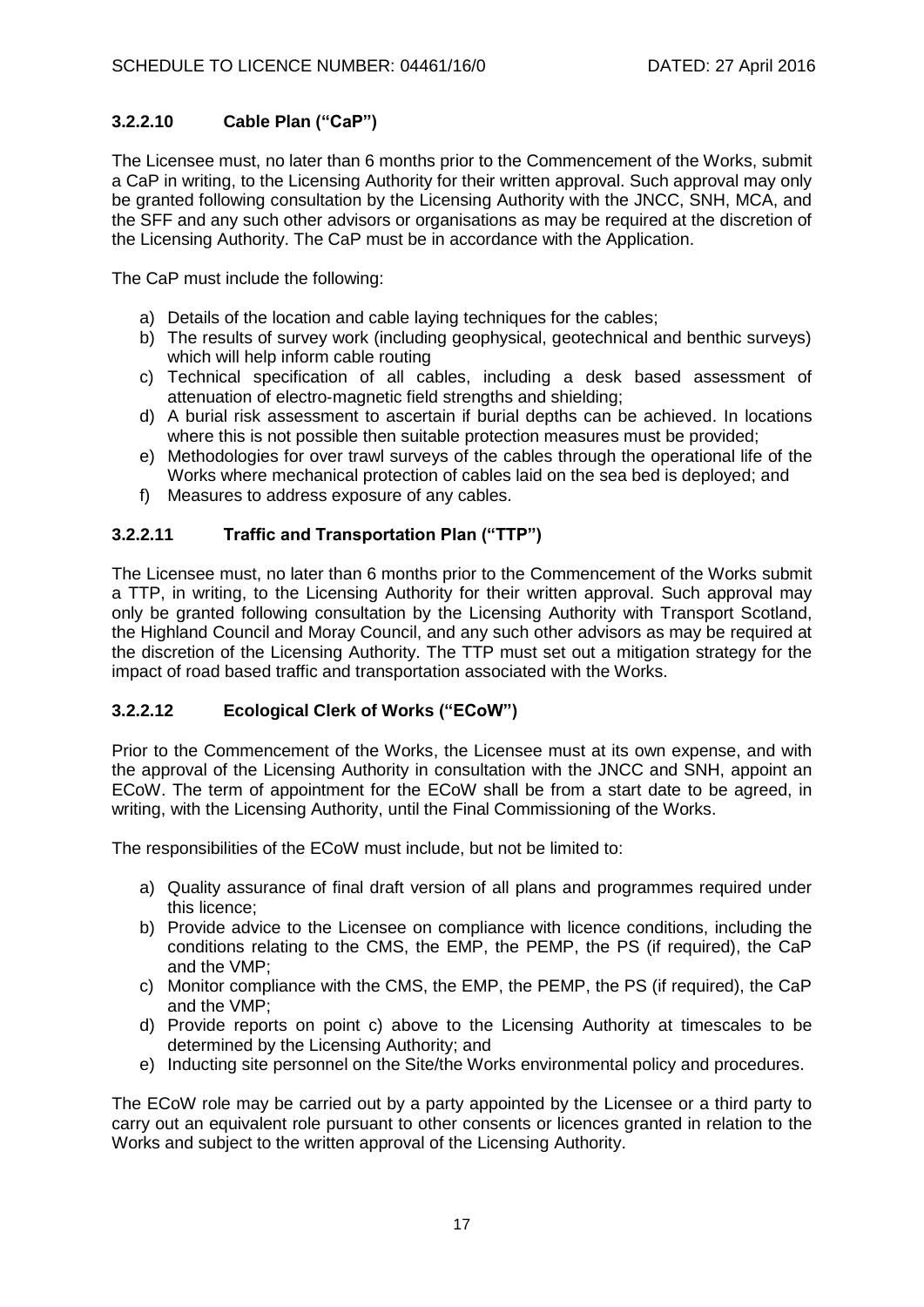# **3.2.2.10 Cable Plan ("CaP")**

The Licensee must, no later than 6 months prior to the Commencement of the Works, submit a CaP in writing, to the Licensing Authority for their written approval. Such approval may only be granted following consultation by the Licensing Authority with the JNCC, SNH, MCA, and the SFF and any such other advisors or organisations as may be required at the discretion of the Licensing Authority. The CaP must be in accordance with the Application.

The CaP must include the following:

- a) Details of the location and cable laying techniques for the cables;
- b) The results of survey work (including geophysical, geotechnical and benthic surveys) which will help inform cable routing
- c) Technical specification of all cables, including a desk based assessment of attenuation of electro‐magnetic field strengths and shielding;
- d) A burial risk assessment to ascertain if burial depths can be achieved. In locations where this is not possible then suitable protection measures must be provided;
- e) Methodologies for over trawl surveys of the cables through the operational life of the Works where mechanical protection of cables laid on the sea bed is deployed; and
- f) Measures to address exposure of any cables.

## **3.2.2.11 Traffic and Transportation Plan ("TTP")**

The Licensee must, no later than 6 months prior to the Commencement of the Works submit a TTP, in writing, to the Licensing Authority for their written approval. Such approval may only be granted following consultation by the Licensing Authority with Transport Scotland, the Highland Council and Moray Council, and any such other advisors as may be required at the discretion of the Licensing Authority. The TTP must set out a mitigation strategy for the impact of road based traffic and transportation associated with the Works.

### **3.2.2.12 Ecological Clerk of Works ("ECoW")**

Prior to the Commencement of the Works, the Licensee must at its own expense, and with the approval of the Licensing Authority in consultation with the JNCC and SNH, appoint an ECoW. The term of appointment for the ECoW shall be from a start date to be agreed, in writing, with the Licensing Authority, until the Final Commissioning of the Works.

The responsibilities of the ECoW must include, but not be limited to:

- a) Quality assurance of final draft version of all plans and programmes required under this licence;
- b) Provide advice to the Licensee on compliance with licence conditions, including the conditions relating to the CMS, the EMP, the PEMP, the PS (if required), the CaP and the VMP;
- c) Monitor compliance with the CMS, the EMP, the PEMP, the PS (if required), the CaP and the VMP;
- d) Provide reports on point c) above to the Licensing Authority at timescales to be determined by the Licensing Authority; and
- e) Inducting site personnel on the Site/the Works environmental policy and procedures.

The ECoW role may be carried out by a party appointed by the Licensee or a third party to carry out an equivalent role pursuant to other consents or licences granted in relation to the Works and subject to the written approval of the Licensing Authority.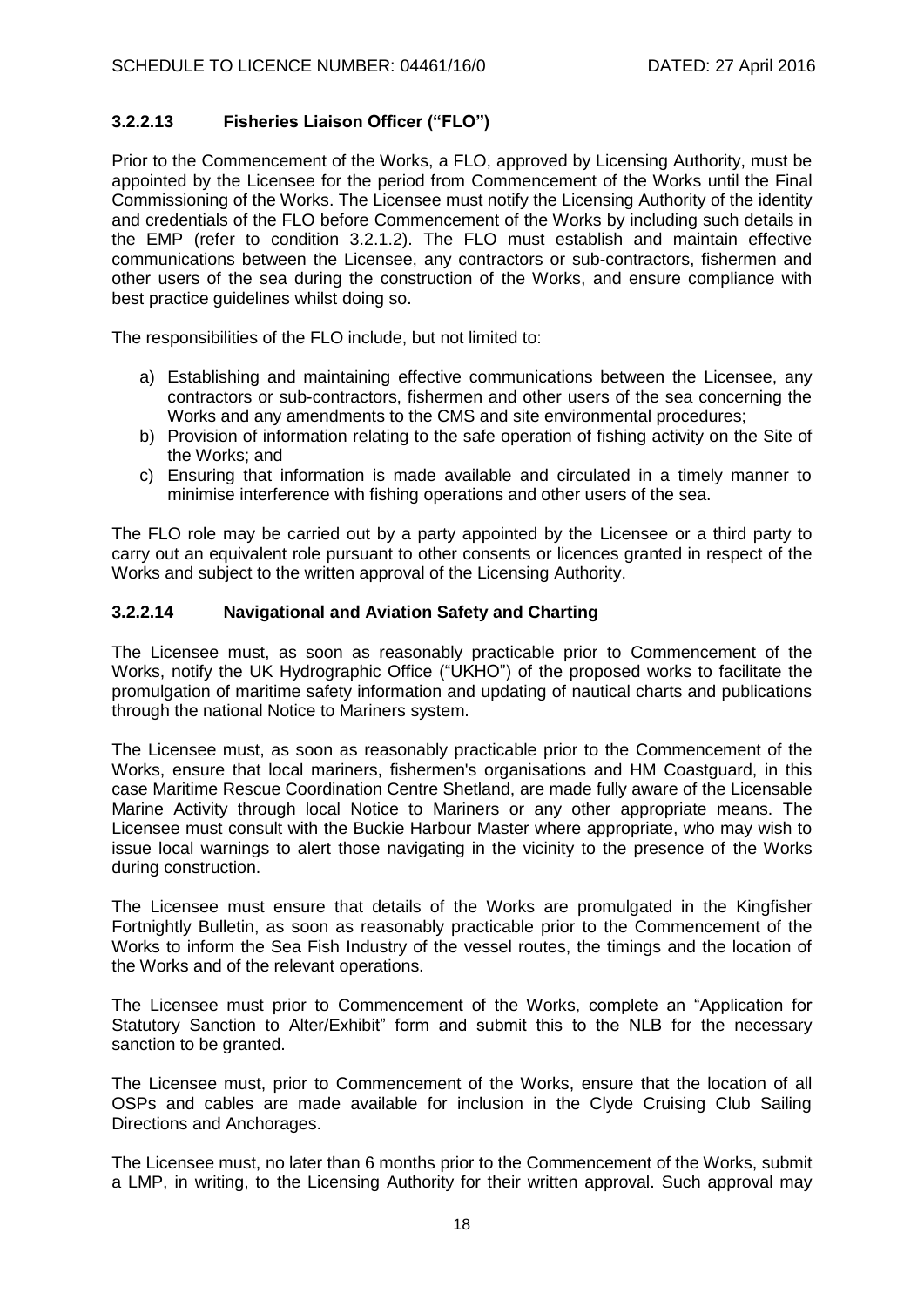## **3.2.2.13 Fisheries Liaison Officer ("FLO")**

Prior to the Commencement of the Works, a FLO, approved by Licensing Authority, must be appointed by the Licensee for the period from Commencement of the Works until the Final Commissioning of the Works. The Licensee must notify the Licensing Authority of the identity and credentials of the FLO before Commencement of the Works by including such details in the EMP (refer to condition 3.2.1.2). The FLO must establish and maintain effective communications between the Licensee, any contractors or sub-contractors, fishermen and other users of the sea during the construction of the Works, and ensure compliance with best practice guidelines whilst doing so.

The responsibilities of the FLO include, but not limited to:

- a) Establishing and maintaining effective communications between the Licensee, any contractors or sub-contractors, fishermen and other users of the sea concerning the Works and any amendments to the CMS and site environmental procedures;
- b) Provision of information relating to the safe operation of fishing activity on the Site of the Works; and
- c) Ensuring that information is made available and circulated in a timely manner to minimise interference with fishing operations and other users of the sea.

The FLO role may be carried out by a party appointed by the Licensee or a third party to carry out an equivalent role pursuant to other consents or licences granted in respect of the Works and subject to the written approval of the Licensing Authority.

### **3.2.2.14 Navigational and Aviation Safety and Charting**

The Licensee must, as soon as reasonably practicable prior to Commencement of the Works, notify the UK Hydrographic Office ("UKHO") of the proposed works to facilitate the promulgation of maritime safety information and updating of nautical charts and publications through the national Notice to Mariners system.

The Licensee must, as soon as reasonably practicable prior to the Commencement of the Works, ensure that local mariners, fishermen's organisations and HM Coastguard, in this case Maritime Rescue Coordination Centre Shetland, are made fully aware of the Licensable Marine Activity through local Notice to Mariners or any other appropriate means. The Licensee must consult with the Buckie Harbour Master where appropriate, who may wish to issue local warnings to alert those navigating in the vicinity to the presence of the Works during construction.

The Licensee must ensure that details of the Works are promulgated in the Kingfisher Fortnightly Bulletin, as soon as reasonably practicable prior to the Commencement of the Works to inform the Sea Fish Industry of the vessel routes, the timings and the location of the Works and of the relevant operations.

The Licensee must prior to Commencement of the Works, complete an "Application for Statutory Sanction to Alter/Exhibit" form and submit this to the NLB for the necessary sanction to be granted.

The Licensee must, prior to Commencement of the Works, ensure that the location of all OSPs and cables are made available for inclusion in the Clyde Cruising Club Sailing Directions and Anchorages.

The Licensee must, no later than 6 months prior to the Commencement of the Works, submit a LMP, in writing, to the Licensing Authority for their written approval. Such approval may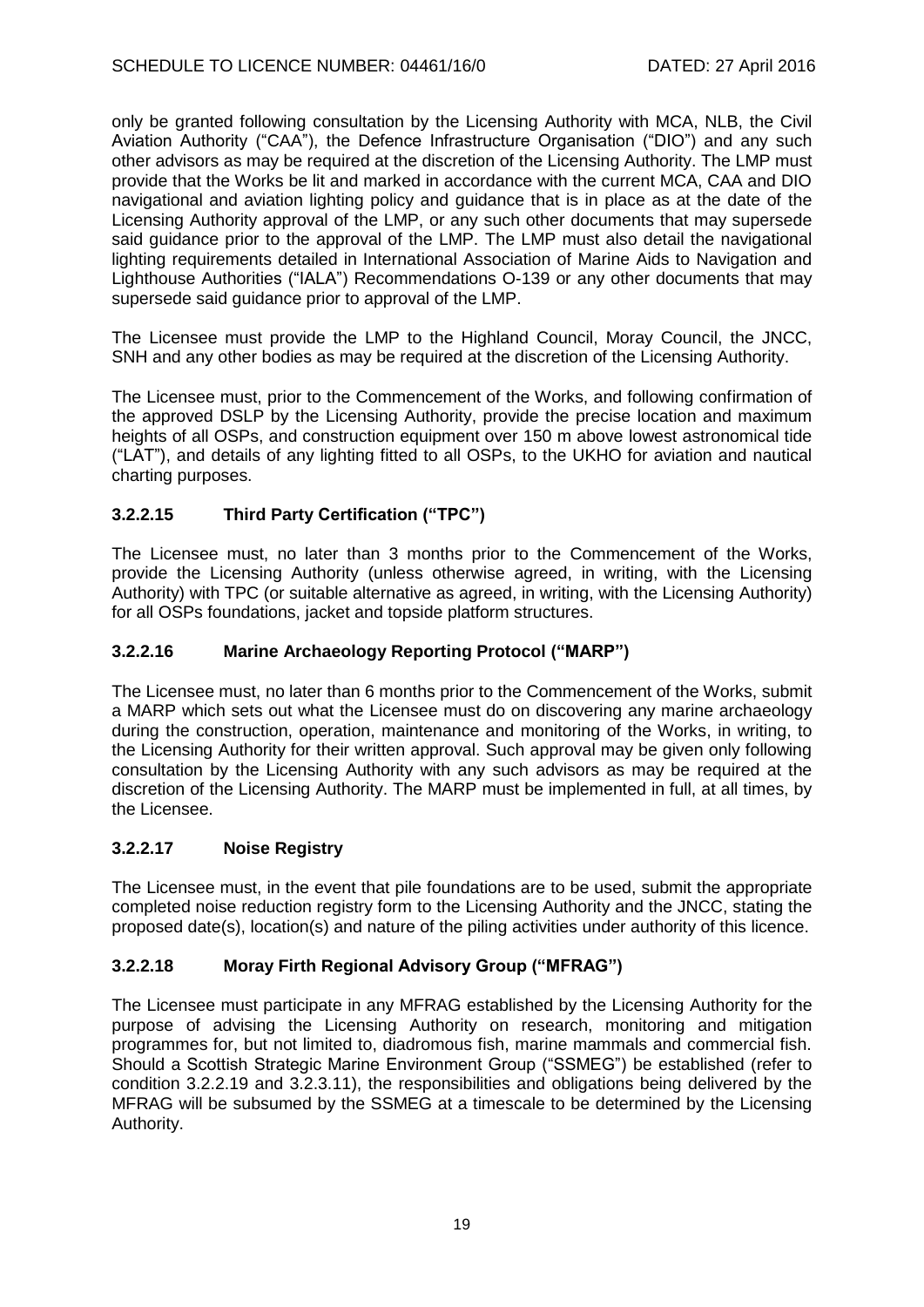only be granted following consultation by the Licensing Authority with MCA, NLB, the Civil Aviation Authority ("CAA"), the Defence Infrastructure Organisation ("DIO") and any such other advisors as may be required at the discretion of the Licensing Authority. The LMP must provide that the Works be lit and marked in accordance with the current MCA, CAA and DIO navigational and aviation lighting policy and guidance that is in place as at the date of the Licensing Authority approval of the LMP, or any such other documents that may supersede said guidance prior to the approval of the LMP. The LMP must also detail the navigational lighting requirements detailed in International Association of Marine Aids to Navigation and Lighthouse Authorities ("IALA") Recommendations O-139 or any other documents that may supersede said guidance prior to approval of the LMP.

The Licensee must provide the LMP to the Highland Council, Moray Council, the JNCC, SNH and any other bodies as may be required at the discretion of the Licensing Authority.

The Licensee must, prior to the Commencement of the Works, and following confirmation of the approved DSLP by the Licensing Authority, provide the precise location and maximum heights of all OSPs, and construction equipment over 150 m above lowest astronomical tide ("LAT"), and details of any lighting fitted to all OSPs, to the UKHO for aviation and nautical charting purposes.

## **3.2.2.15 Third Party Certification ("TPC")**

The Licensee must, no later than 3 months prior to the Commencement of the Works, provide the Licensing Authority (unless otherwise agreed, in writing, with the Licensing Authority) with TPC (or suitable alternative as agreed, in writing, with the Licensing Authority) for all OSPs foundations, jacket and topside platform structures.

## **3.2.2.16 Marine Archaeology Reporting Protocol ("MARP")**

The Licensee must, no later than 6 months prior to the Commencement of the Works, submit a MARP which sets out what the Licensee must do on discovering any marine archaeology during the construction, operation, maintenance and monitoring of the Works, in writing, to the Licensing Authority for their written approval. Such approval may be given only following consultation by the Licensing Authority with any such advisors as may be required at the discretion of the Licensing Authority. The MARP must be implemented in full, at all times, by the Licensee.

### **3.2.2.17 Noise Registry**

The Licensee must, in the event that pile foundations are to be used, submit the appropriate completed noise reduction registry form to the Licensing Authority and the JNCC, stating the proposed date(s), location(s) and nature of the piling activities under authority of this licence.

## **3.2.2.18 Moray Firth Regional Advisory Group ("MFRAG")**

The Licensee must participate in any MFRAG established by the Licensing Authority for the purpose of advising the Licensing Authority on research, monitoring and mitigation programmes for, but not limited to, diadromous fish, marine mammals and commercial fish. Should a Scottish Strategic Marine Environment Group ("SSMEG") be established (refer to condition 3.2.2.19 and 3.2.3.11), the responsibilities and obligations being delivered by the MFRAG will be subsumed by the SSMEG at a timescale to be determined by the Licensing Authority.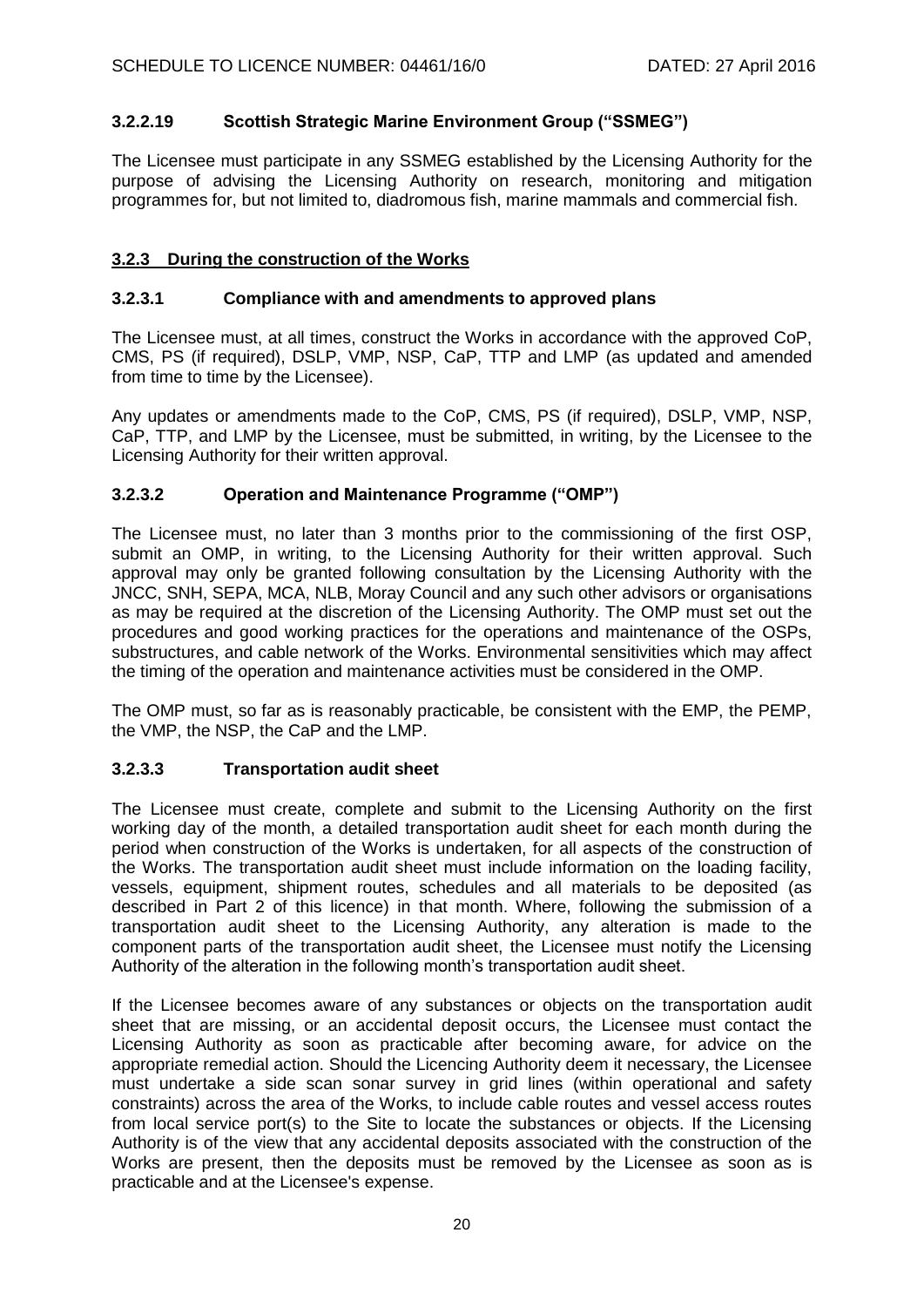## **3.2.2.19 Scottish Strategic Marine Environment Group ("SSMEG")**

The Licensee must participate in any SSMEG established by the Licensing Authority for the purpose of advising the Licensing Authority on research, monitoring and mitigation programmes for, but not limited to, diadromous fish, marine mammals and commercial fish.

### **3.2.3 During the construction of the Works**

### **3.2.3.1 Compliance with and amendments to approved plans**

The Licensee must, at all times, construct the Works in accordance with the approved CoP, CMS, PS (if required), DSLP, VMP, NSP, CaP, TTP and LMP (as updated and amended from time to time by the Licensee).

Any updates or amendments made to the CoP, CMS, PS (if required), DSLP, VMP, NSP, CaP, TTP, and LMP by the Licensee, must be submitted, in writing, by the Licensee to the Licensing Authority for their written approval.

### **3.2.3.2 Operation and Maintenance Programme ("OMP")**

The Licensee must, no later than 3 months prior to the commissioning of the first OSP, submit an OMP, in writing, to the Licensing Authority for their written approval. Such approval may only be granted following consultation by the Licensing Authority with the JNCC, SNH, SEPA, MCA, NLB, Moray Council and any such other advisors or organisations as may be required at the discretion of the Licensing Authority. The OMP must set out the procedures and good working practices for the operations and maintenance of the OSPs, substructures, and cable network of the Works. Environmental sensitivities which may affect the timing of the operation and maintenance activities must be considered in the OMP.

The OMP must, so far as is reasonably practicable, be consistent with the EMP, the PEMP, the VMP, the NSP, the CaP and the LMP.

### **3.2.3.3 Transportation audit sheet**

The Licensee must create, complete and submit to the Licensing Authority on the first working day of the month, a detailed transportation audit sheet for each month during the period when construction of the Works is undertaken, for all aspects of the construction of the Works. The transportation audit sheet must include information on the loading facility, vessels, equipment, shipment routes, schedules and all materials to be deposited (as described in Part 2 of this licence) in that month. Where, following the submission of a transportation audit sheet to the Licensing Authority, any alteration is made to the component parts of the transportation audit sheet, the Licensee must notify the Licensing Authority of the alteration in the following month's transportation audit sheet.

If the Licensee becomes aware of any substances or objects on the transportation audit sheet that are missing, or an accidental deposit occurs, the Licensee must contact the Licensing Authority as soon as practicable after becoming aware, for advice on the appropriate remedial action. Should the Licencing Authority deem it necessary, the Licensee must undertake a side scan sonar survey in grid lines (within operational and safety constraints) across the area of the Works, to include cable routes and vessel access routes from local service port(s) to the Site to locate the substances or objects. If the Licensing Authority is of the view that any accidental deposits associated with the construction of the Works are present, then the deposits must be removed by the Licensee as soon as is practicable and at the Licensee's expense.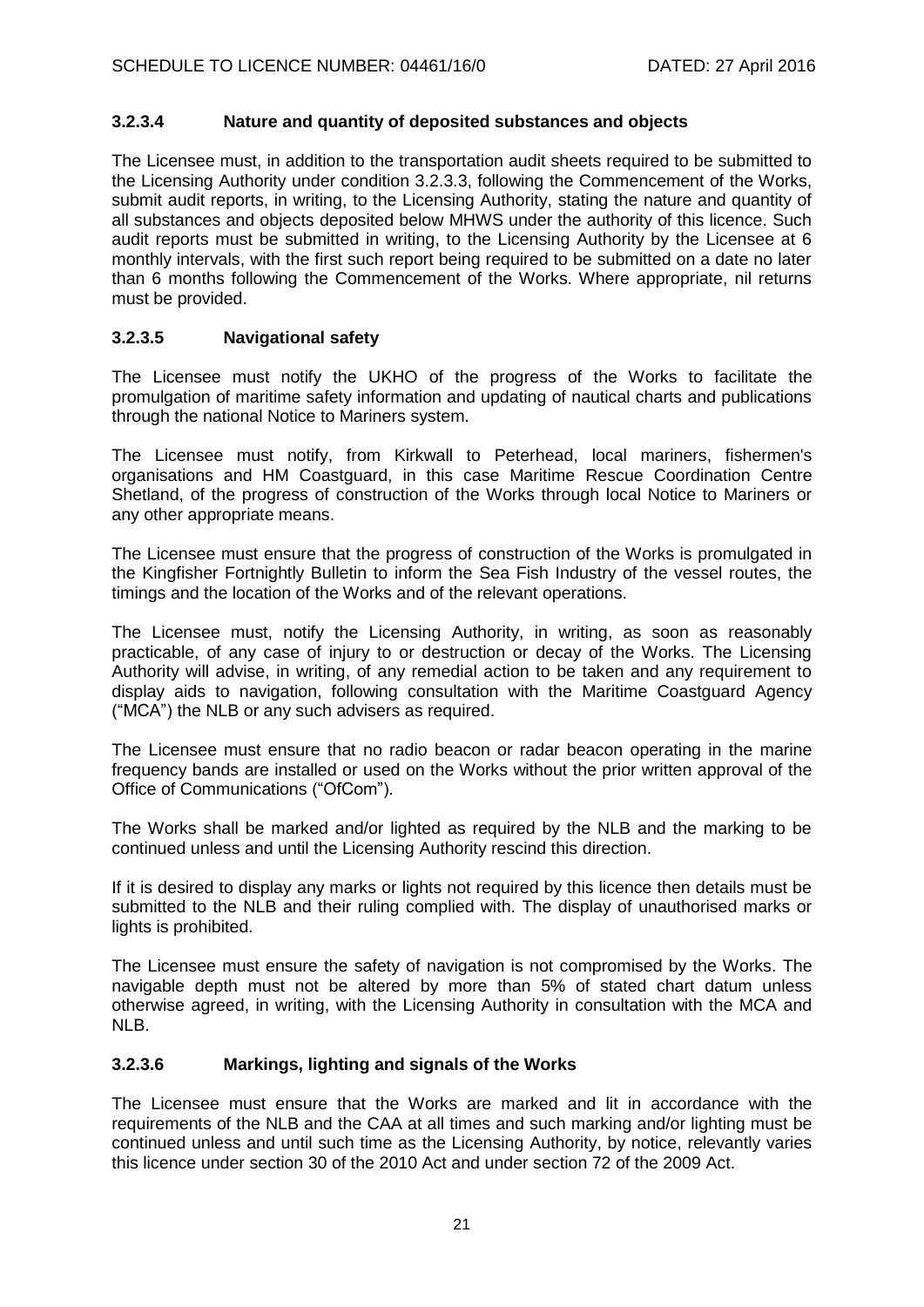## **3.2.3.4 Nature and quantity of deposited substances and objects**

The Licensee must, in addition to the transportation audit sheets required to be submitted to the Licensing Authority under condition 3.2.3.3, following the Commencement of the Works, submit audit reports, in writing, to the Licensing Authority, stating the nature and quantity of all substances and objects deposited below MHWS under the authority of this licence. Such audit reports must be submitted in writing, to the Licensing Authority by the Licensee at 6 monthly intervals, with the first such report being required to be submitted on a date no later than 6 months following the Commencement of the Works. Where appropriate, nil returns must be provided.

## **3.2.3.5 Navigational safety**

The Licensee must notify the UKHO of the progress of the Works to facilitate the promulgation of maritime safety information and updating of nautical charts and publications through the national Notice to Mariners system.

The Licensee must notify, from Kirkwall to Peterhead, local mariners, fishermen's organisations and HM Coastguard, in this case Maritime Rescue Coordination Centre Shetland, of the progress of construction of the Works through local Notice to Mariners or any other appropriate means.

The Licensee must ensure that the progress of construction of the Works is promulgated in the Kingfisher Fortnightly Bulletin to inform the Sea Fish Industry of the vessel routes, the timings and the location of the Works and of the relevant operations.

The Licensee must, notify the Licensing Authority, in writing, as soon as reasonably practicable, of any case of injury to or destruction or decay of the Works. The Licensing Authority will advise, in writing, of any remedial action to be taken and any requirement to display aids to navigation, following consultation with the Maritime Coastguard Agency ("MCA") the NLB or any such advisers as required.

The Licensee must ensure that no radio beacon or radar beacon operating in the marine frequency bands are installed or used on the Works without the prior written approval of the Office of Communications ("OfCom").

The Works shall be marked and/or lighted as required by the NLB and the marking to be continued unless and until the Licensing Authority rescind this direction.

If it is desired to display any marks or lights not required by this licence then details must be submitted to the NLB and their ruling complied with. The display of unauthorised marks or lights is prohibited.

The Licensee must ensure the safety of navigation is not compromised by the Works. The navigable depth must not be altered by more than 5% of stated chart datum unless otherwise agreed, in writing, with the Licensing Authority in consultation with the MCA and NLB.

## **3.2.3.6 Markings, lighting and signals of the Works**

The Licensee must ensure that the Works are marked and lit in accordance with the requirements of the NLB and the CAA at all times and such marking and/or lighting must be continued unless and until such time as the Licensing Authority, by notice, relevantly varies this licence under section 30 of the 2010 Act and under section 72 of the 2009 Act.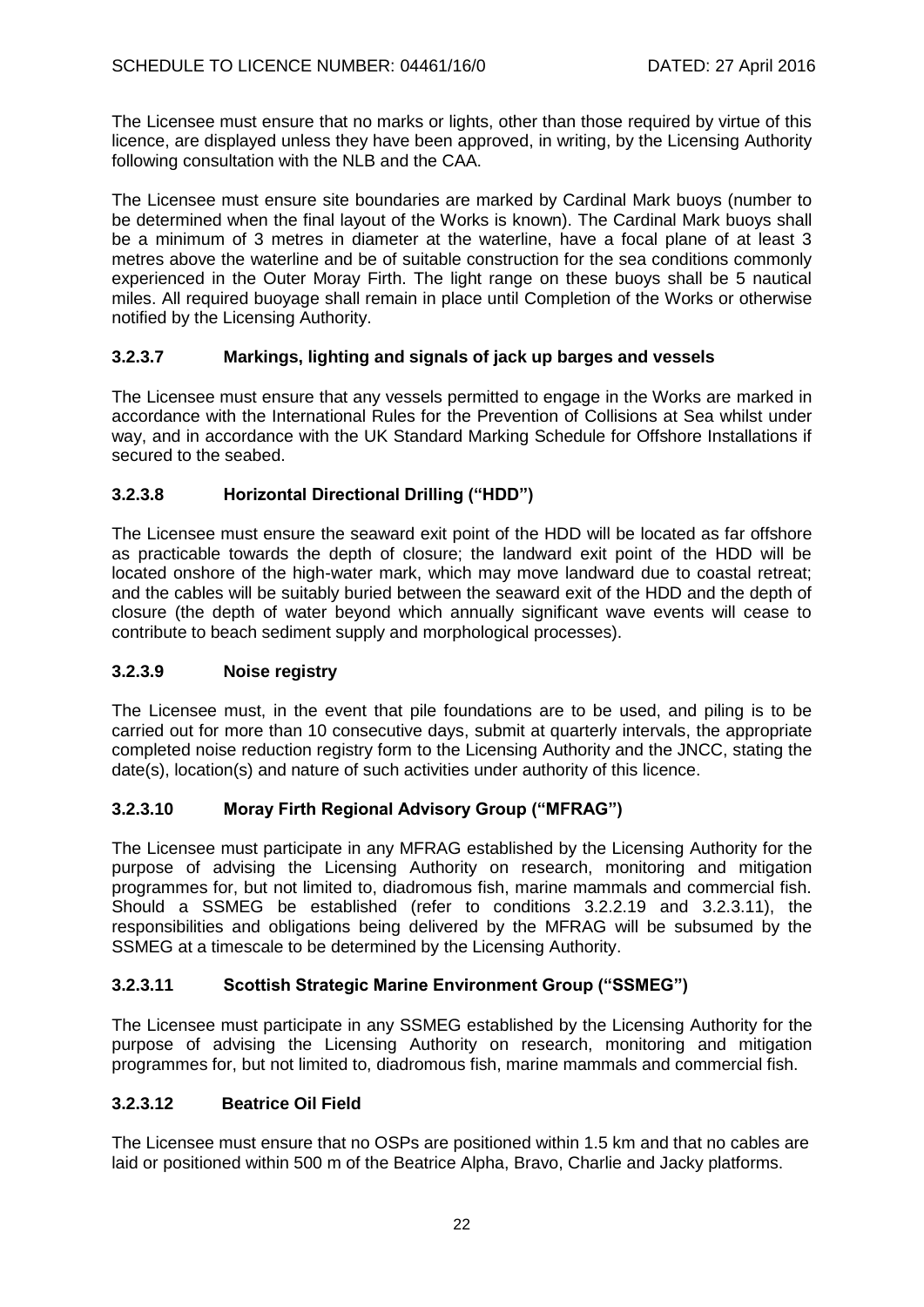The Licensee must ensure that no marks or lights, other than those required by virtue of this licence, are displayed unless they have been approved, in writing, by the Licensing Authority following consultation with the NLB and the CAA.

The Licensee must ensure site boundaries are marked by Cardinal Mark buoys (number to be determined when the final layout of the Works is known). The Cardinal Mark buoys shall be a minimum of 3 metres in diameter at the waterline, have a focal plane of at least 3 metres above the waterline and be of suitable construction for the sea conditions commonly experienced in the Outer Moray Firth. The light range on these buoys shall be 5 nautical miles. All required buoyage shall remain in place until Completion of the Works or otherwise notified by the Licensing Authority.

## **3.2.3.7 Markings, lighting and signals of jack up barges and vessels**

The Licensee must ensure that any vessels permitted to engage in the Works are marked in accordance with the International Rules for the Prevention of Collisions at Sea whilst under way, and in accordance with the UK Standard Marking Schedule for Offshore Installations if secured to the seabed.

## **3.2.3.8 Horizontal Directional Drilling ("HDD")**

The Licensee must ensure the seaward exit point of the HDD will be located as far offshore as practicable towards the depth of closure; the landward exit point of the HDD will be located onshore of the high-water mark, which may move landward due to coastal retreat; and the cables will be suitably buried between the seaward exit of the HDD and the depth of closure (the depth of water beyond which annually significant wave events will cease to contribute to beach sediment supply and morphological processes).

### **3.2.3.9 Noise registry**

The Licensee must, in the event that pile foundations are to be used, and piling is to be carried out for more than 10 consecutive days, submit at quarterly intervals, the appropriate completed noise reduction registry form to the Licensing Authority and the JNCC, stating the date(s), location(s) and nature of such activities under authority of this licence.

## **3.2.3.10 Moray Firth Regional Advisory Group ("MFRAG")**

The Licensee must participate in any MFRAG established by the Licensing Authority for the purpose of advising the Licensing Authority on research, monitoring and mitigation programmes for, but not limited to, diadromous fish, marine mammals and commercial fish. Should a SSMEG be established (refer to conditions 3.2.2.19 and 3.2.3.11), the responsibilities and obligations being delivered by the MFRAG will be subsumed by the SSMEG at a timescale to be determined by the Licensing Authority.

## **3.2.3.11 Scottish Strategic Marine Environment Group ("SSMEG")**

The Licensee must participate in any SSMEG established by the Licensing Authority for the purpose of advising the Licensing Authority on research, monitoring and mitigation programmes for, but not limited to, diadromous fish, marine mammals and commercial fish.

### **3.2.3.12 Beatrice Oil Field**

The Licensee must ensure that no OSPs are positioned within 1.5 km and that no cables are laid or positioned within 500 m of the Beatrice Alpha, Bravo, Charlie and Jacky platforms.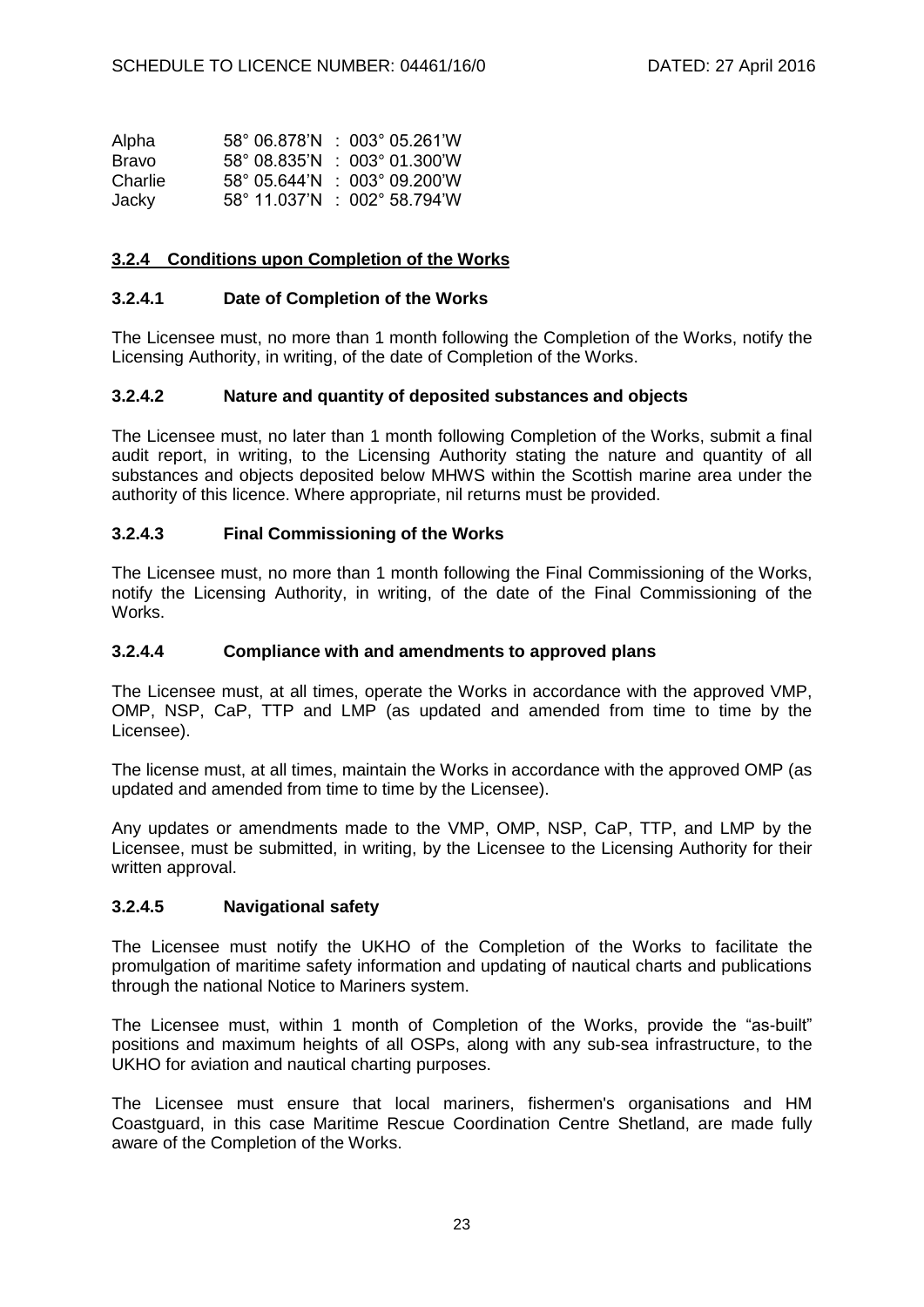| Alpha        | $58^{\circ}$ 06.878'N : 003° 05.261'W           |
|--------------|-------------------------------------------------|
| <b>Bravo</b> | $58^{\circ}$ 08.835'N $\pm$ 003° 01.300'W       |
| Charlie      | $58^{\circ}$ 05.644'N $\pm$ 003° 09.200'W       |
| Jacky        | $58^{\circ}$ 11.037'N : 002 $^{\circ}$ 58.794'W |

### **3.2.4 Conditions upon Completion of the Works**

### **3.2.4.1 Date of Completion of the Works**

The Licensee must, no more than 1 month following the Completion of the Works, notify the Licensing Authority, in writing, of the date of Completion of the Works.

### **3.2.4.2 Nature and quantity of deposited substances and objects**

The Licensee must, no later than 1 month following Completion of the Works, submit a final audit report, in writing, to the Licensing Authority stating the nature and quantity of all substances and objects deposited below MHWS within the Scottish marine area under the authority of this licence. Where appropriate, nil returns must be provided.

#### **3.2.4.3 Final Commissioning of the Works**

The Licensee must, no more than 1 month following the Final Commissioning of the Works, notify the Licensing Authority, in writing, of the date of the Final Commissioning of the Works.

#### **3.2.4.4 Compliance with and amendments to approved plans**

The Licensee must, at all times, operate the Works in accordance with the approved VMP, OMP, NSP, CaP, TTP and LMP (as updated and amended from time to time by the Licensee).

The license must, at all times, maintain the Works in accordance with the approved OMP (as updated and amended from time to time by the Licensee).

Any updates or amendments made to the VMP, OMP, NSP, CaP, TTP, and LMP by the Licensee, must be submitted, in writing, by the Licensee to the Licensing Authority for their written approval.

#### **3.2.4.5 Navigational safety**

The Licensee must notify the UKHO of the Completion of the Works to facilitate the promulgation of maritime safety information and updating of nautical charts and publications through the national Notice to Mariners system.

The Licensee must, within 1 month of Completion of the Works, provide the "as-built" positions and maximum heights of all OSPs, along with any sub-sea infrastructure, to the UKHO for aviation and nautical charting purposes.

The Licensee must ensure that local mariners, fishermen's organisations and HM Coastguard, in this case Maritime Rescue Coordination Centre Shetland, are made fully aware of the Completion of the Works.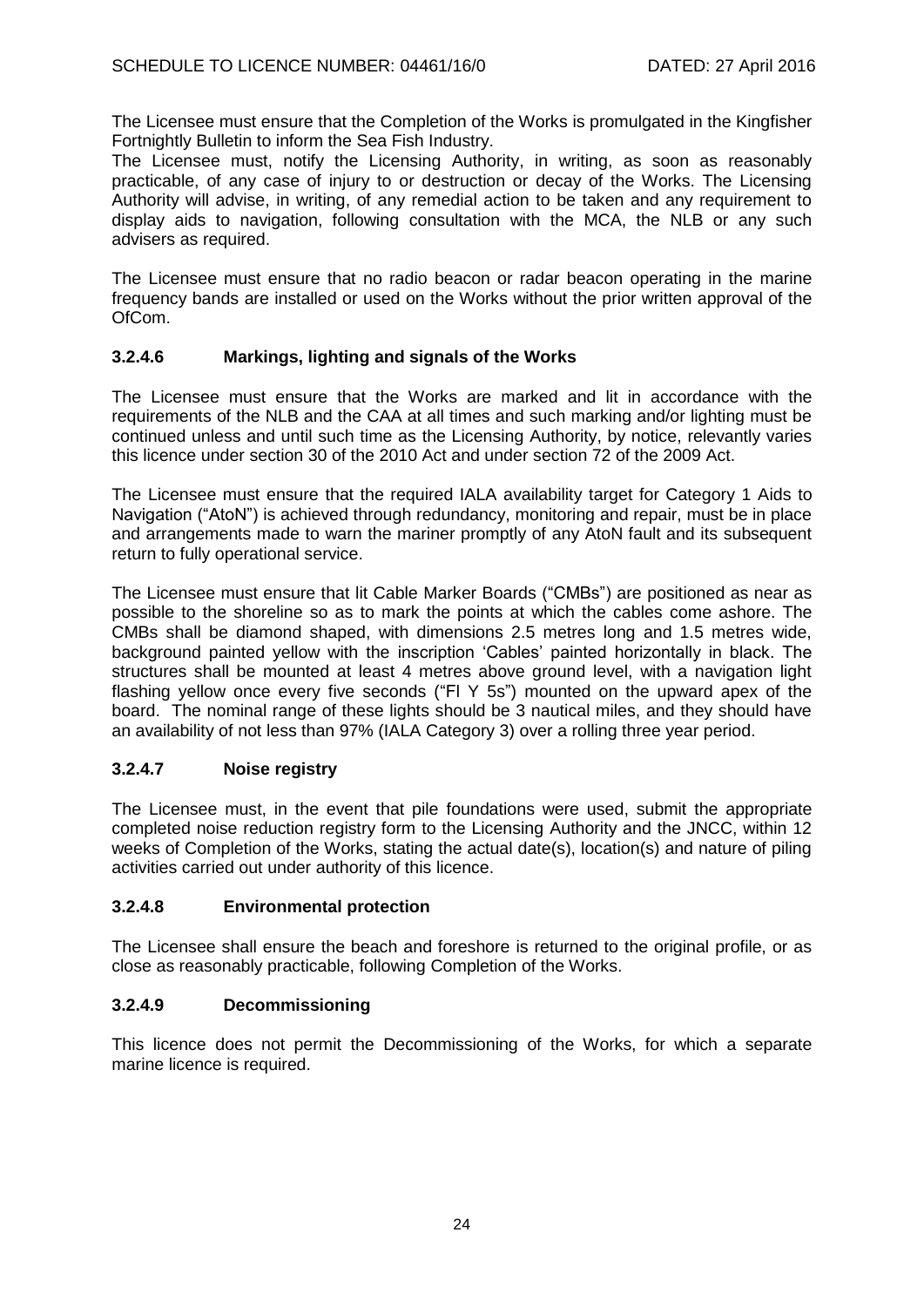The Licensee must ensure that the Completion of the Works is promulgated in the Kingfisher Fortnightly Bulletin to inform the Sea Fish Industry.

The Licensee must, notify the Licensing Authority, in writing, as soon as reasonably practicable, of any case of injury to or destruction or decay of the Works. The Licensing Authority will advise, in writing, of any remedial action to be taken and any requirement to display aids to navigation, following consultation with the MCA, the NLB or any such advisers as required.

The Licensee must ensure that no radio beacon or radar beacon operating in the marine frequency bands are installed or used on the Works without the prior written approval of the OfCom.

## **3.2.4.6 Markings, lighting and signals of the Works**

The Licensee must ensure that the Works are marked and lit in accordance with the requirements of the NLB and the CAA at all times and such marking and/or lighting must be continued unless and until such time as the Licensing Authority, by notice, relevantly varies this licence under section 30 of the 2010 Act and under section 72 of the 2009 Act.

The Licensee must ensure that the required IALA availability target for Category 1 Aids to Navigation ("AtoN") is achieved through redundancy, monitoring and repair, must be in place and arrangements made to warn the mariner promptly of any AtoN fault and its subsequent return to fully operational service.

The Licensee must ensure that lit Cable Marker Boards ("CMBs") are positioned as near as possible to the shoreline so as to mark the points at which the cables come ashore. The CMBs shall be diamond shaped, with dimensions 2.5 metres long and 1.5 metres wide, background painted yellow with the inscription 'Cables' painted horizontally in black. The structures shall be mounted at least 4 metres above ground level, with a navigation light flashing yellow once every five seconds ("Fl Y 5s") mounted on the upward apex of the board. The nominal range of these lights should be 3 nautical miles, and they should have an availability of not less than 97% (IALA Category 3) over a rolling three year period.

## **3.2.4.7 Noise registry**

The Licensee must, in the event that pile foundations were used, submit the appropriate completed noise reduction registry form to the Licensing Authority and the JNCC, within 12 weeks of Completion of the Works, stating the actual date(s), location(s) and nature of piling activities carried out under authority of this licence.

### **3.2.4.8 Environmental protection**

The Licensee shall ensure the beach and foreshore is returned to the original profile, or as close as reasonably practicable, following Completion of the Works.

### **3.2.4.9 Decommissioning**

This licence does not permit the Decommissioning of the Works, for which a separate marine licence is required.